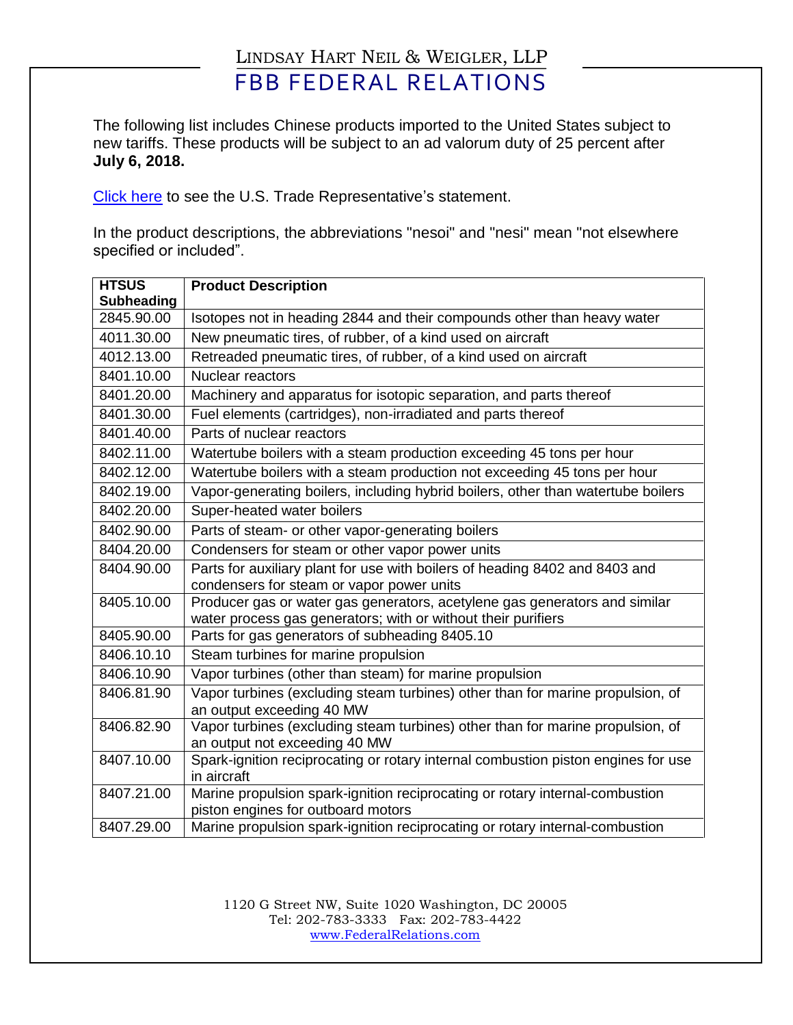The following list includes Chinese products imported to the United States subject to new tariffs. These products will be subject to an ad valorum duty of 25 percent after **July 6, 2018.** 

[Click](https://ustr.gov/about-us/policy-offices/press-office/press-releases/2018/june/ustr-issues-tariffs-chinese-products) here to see the U.S. Trade Representative's statement.

In the product descriptions, the abbreviations "nesoi" and "nesi" mean "not elsewhere specified or included".

| <b>HTSUS</b>      | <b>Product Description</b>                                                        |
|-------------------|-----------------------------------------------------------------------------------|
| <b>Subheading</b> |                                                                                   |
| 2845.90.00        | Isotopes not in heading 2844 and their compounds other than heavy water           |
| 4011.30.00        | New pneumatic tires, of rubber, of a kind used on aircraft                        |
| 4012.13.00        | Retreaded pneumatic tires, of rubber, of a kind used on aircraft                  |
| 8401.10.00        | Nuclear reactors                                                                  |
| 8401.20.00        | Machinery and apparatus for isotopic separation, and parts thereof                |
| 8401.30.00        | Fuel elements (cartridges), non-irradiated and parts thereof                      |
| 8401.40.00        | Parts of nuclear reactors                                                         |
| 8402.11.00        | Watertube boilers with a steam production exceeding 45 tons per hour              |
| 8402.12.00        | Watertube boilers with a steam production not exceeding 45 tons per hour          |
| 8402.19.00        | Vapor-generating boilers, including hybrid boilers, other than watertube boilers  |
| 8402.20.00        | Super-heated water boilers                                                        |
| 8402.90.00        | Parts of steam- or other vapor-generating boilers                                 |
| 8404.20.00        | Condensers for steam or other vapor power units                                   |
| 8404.90.00        | Parts for auxiliary plant for use with boilers of heading 8402 and 8403 and       |
|                   | condensers for steam or vapor power units                                         |
| 8405.10.00        | Producer gas or water gas generators, acetylene gas generators and similar        |
|                   | water process gas generators; with or without their purifiers                     |
| 8405.90.00        | Parts for gas generators of subheading 8405.10                                    |
| 8406.10.10        | Steam turbines for marine propulsion                                              |
| 8406.10.90        | Vapor turbines (other than steam) for marine propulsion                           |
| 8406.81.90        | Vapor turbines (excluding steam turbines) other than for marine propulsion, of    |
|                   | an output exceeding 40 MW                                                         |
| 8406.82.90        | Vapor turbines (excluding steam turbines) other than for marine propulsion, of    |
|                   | an output not exceeding 40 MW                                                     |
| 8407.10.00        | Spark-ignition reciprocating or rotary internal combustion piston engines for use |
|                   | in aircraft                                                                       |
| 8407.21.00        | Marine propulsion spark-ignition reciprocating or rotary internal-combustion      |
|                   | piston engines for outboard motors                                                |
| 8407.29.00        | Marine propulsion spark-ignition reciprocating or rotary internal-combustion      |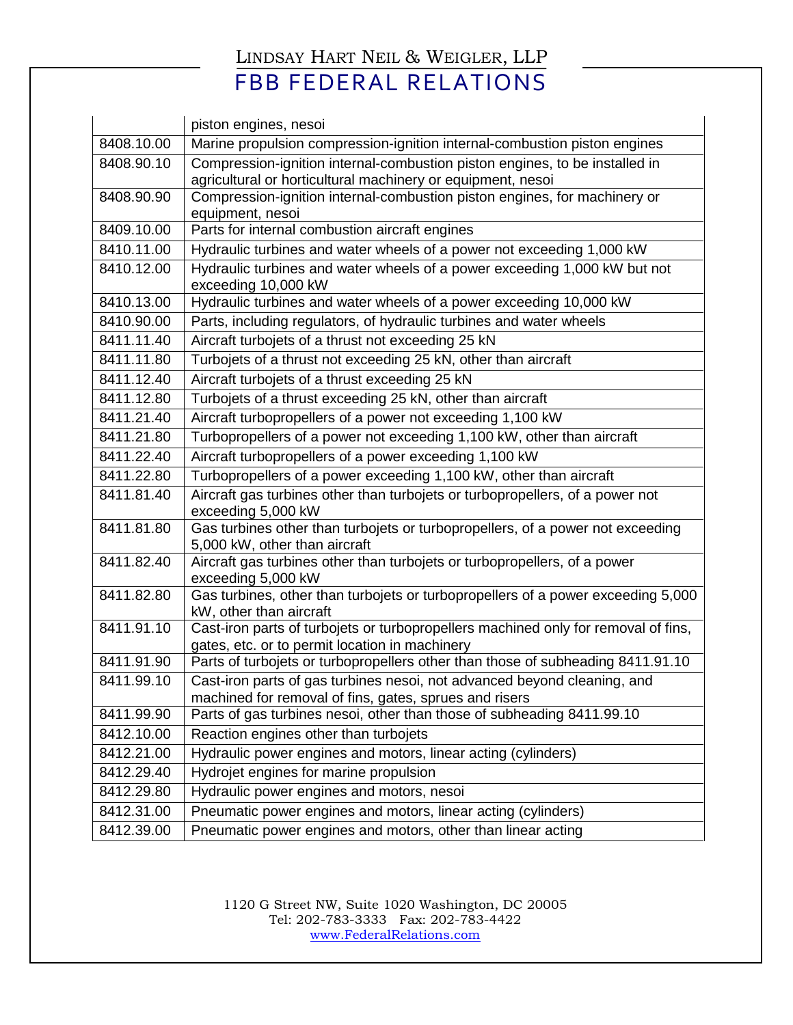|            | piston engines, nesoi                                                                                                                |
|------------|--------------------------------------------------------------------------------------------------------------------------------------|
| 8408.10.00 | Marine propulsion compression-ignition internal-combustion piston engines                                                            |
| 8408.90.10 | Compression-ignition internal-combustion piston engines, to be installed in                                                          |
|            | agricultural or horticultural machinery or equipment, nesoi                                                                          |
| 8408.90.90 | Compression-ignition internal-combustion piston engines, for machinery or                                                            |
|            | equipment, nesoi                                                                                                                     |
| 8409.10.00 | Parts for internal combustion aircraft engines                                                                                       |
| 8410.11.00 | Hydraulic turbines and water wheels of a power not exceeding 1,000 kW                                                                |
| 8410.12.00 | Hydraulic turbines and water wheels of a power exceeding 1,000 kW but not<br>exceeding 10,000 kW                                     |
| 8410.13.00 | Hydraulic turbines and water wheels of a power exceeding 10,000 kW                                                                   |
| 8410.90.00 | Parts, including regulators, of hydraulic turbines and water wheels                                                                  |
| 8411.11.40 | Aircraft turbojets of a thrust not exceeding 25 kN                                                                                   |
| 8411.11.80 | Turbojets of a thrust not exceeding 25 kN, other than aircraft                                                                       |
| 8411.12.40 | Aircraft turbojets of a thrust exceeding 25 kN                                                                                       |
| 8411.12.80 | Turbojets of a thrust exceeding 25 kN, other than aircraft                                                                           |
| 8411.21.40 | Aircraft turbopropellers of a power not exceeding 1,100 kW                                                                           |
| 8411.21.80 | Turbopropellers of a power not exceeding 1,100 kW, other than aircraft                                                               |
| 8411.22.40 | Aircraft turbopropellers of a power exceeding 1,100 kW                                                                               |
| 8411.22.80 | Turbopropellers of a power exceeding 1,100 kW, other than aircraft                                                                   |
| 8411.81.40 | Aircraft gas turbines other than turbojets or turbopropellers, of a power not<br>exceeding 5,000 kW                                  |
| 8411.81.80 | Gas turbines other than turbojets or turbopropellers, of a power not exceeding<br>5,000 kW, other than aircraft                      |
| 8411.82.40 | Aircraft gas turbines other than turbojets or turbopropellers, of a power<br>exceeding 5,000 kW                                      |
| 8411.82.80 | Gas turbines, other than turbojets or turbopropellers of a power exceeding 5,000<br>kW, other than aircraft                          |
| 8411.91.10 | Cast-iron parts of turbojets or turbopropellers machined only for removal of fins,<br>gates, etc. or to permit location in machinery |
| 8411.91.90 | Parts of turbojets or turbopropellers other than those of subheading 8411.91.10                                                      |
| 8411.99.10 | Cast-iron parts of gas turbines nesoi, not advanced beyond cleaning, and                                                             |
|            | machined for removal of fins, gates, sprues and risers                                                                               |
| 8411.99.90 | Parts of gas turbines nesoi, other than those of subheading 8411.99.10                                                               |
| 8412.10.00 | Reaction engines other than turbojets                                                                                                |
| 8412.21.00 | Hydraulic power engines and motors, linear acting (cylinders)                                                                        |
| 8412.29.40 | Hydrojet engines for marine propulsion                                                                                               |
| 8412.29.80 | Hydraulic power engines and motors, nesoi                                                                                            |
| 8412.31.00 | Pneumatic power engines and motors, linear acting (cylinders)                                                                        |
| 8412.39.00 | Pneumatic power engines and motors, other than linear acting                                                                         |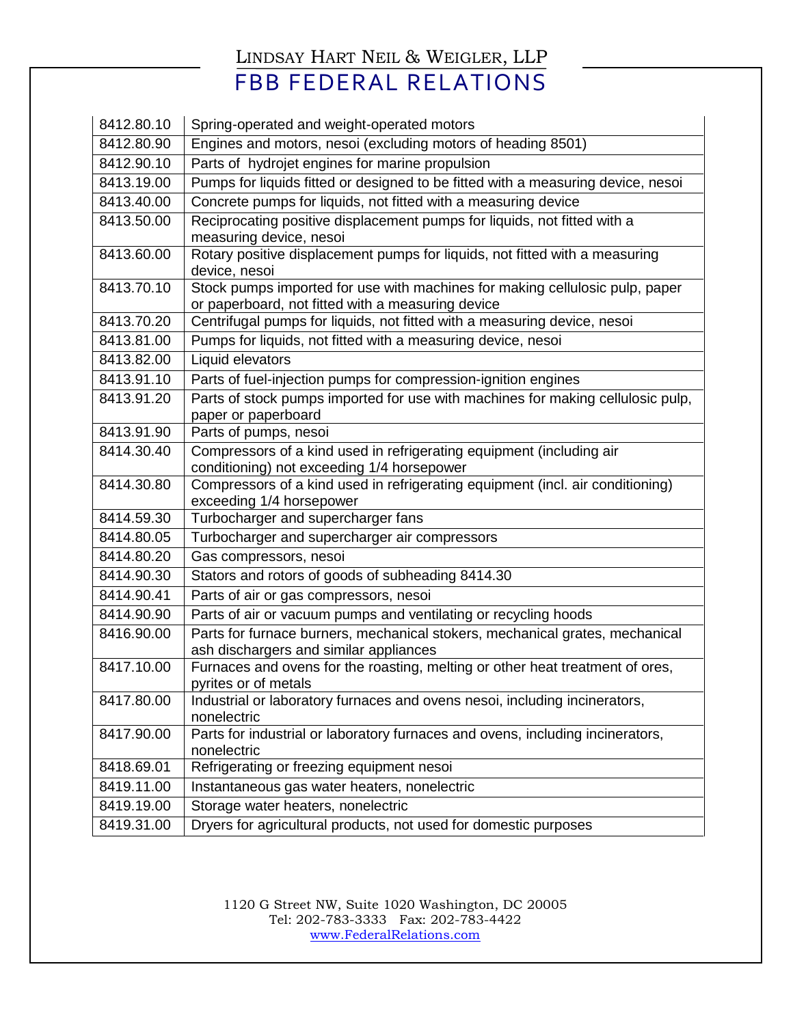| 8412.80.10 | Spring-operated and weight-operated motors                                                    |
|------------|-----------------------------------------------------------------------------------------------|
| 8412.80.90 | Engines and motors, nesoi (excluding motors of heading 8501)                                  |
| 8412.90.10 | Parts of hydrojet engines for marine propulsion                                               |
| 8413.19.00 | Pumps for liquids fitted or designed to be fitted with a measuring device, nesoi              |
| 8413.40.00 | Concrete pumps for liquids, not fitted with a measuring device                                |
| 8413.50.00 | Reciprocating positive displacement pumps for liquids, not fitted with a                      |
|            | measuring device, nesoi                                                                       |
| 8413.60.00 | Rotary positive displacement pumps for liquids, not fitted with a measuring                   |
| 8413.70.10 | device, nesoi<br>Stock pumps imported for use with machines for making cellulosic pulp, paper |
|            | or paperboard, not fitted with a measuring device                                             |
| 8413.70.20 | Centrifugal pumps for liquids, not fitted with a measuring device, nesoi                      |
| 8413.81.00 | Pumps for liquids, not fitted with a measuring device, nesoi                                  |
| 8413.82.00 | Liquid elevators                                                                              |
| 8413.91.10 | Parts of fuel-injection pumps for compression-ignition engines                                |
| 8413.91.20 | Parts of stock pumps imported for use with machines for making cellulosic pulp,               |
|            | paper or paperboard                                                                           |
| 8413.91.90 | Parts of pumps, nesoi                                                                         |
| 8414.30.40 | Compressors of a kind used in refrigerating equipment (including air                          |
|            | conditioning) not exceeding 1/4 horsepower                                                    |
| 8414.30.80 | Compressors of a kind used in refrigerating equipment (incl. air conditioning)                |
| 8414.59.30 | exceeding 1/4 horsepower<br>Turbocharger and supercharger fans                                |
| 8414.80.05 | Turbocharger and supercharger air compressors                                                 |
| 8414.80.20 | Gas compressors, nesoi                                                                        |
| 8414.90.30 | Stators and rotors of goods of subheading 8414.30                                             |
| 8414.90.41 | Parts of air or gas compressors, nesoi                                                        |
| 8414.90.90 | Parts of air or vacuum pumps and ventilating or recycling hoods                               |
| 8416.90.00 | Parts for furnace burners, mechanical stokers, mechanical grates, mechanical                  |
|            | ash dischargers and similar appliances                                                        |
| 8417.10.00 | Furnaces and ovens for the roasting, melting or other heat treatment of ores,                 |
|            | pyrites or of metals                                                                          |
| 8417.80.00 | Industrial or laboratory furnaces and ovens nesoi, including incinerators,                    |
| 8417.90.00 | nonelectric<br>Parts for industrial or laboratory furnaces and ovens, including incinerators, |
|            | nonelectric                                                                                   |
| 8418.69.01 | Refrigerating or freezing equipment nesoi                                                     |
| 8419.11.00 | Instantaneous gas water heaters, nonelectric                                                  |
| 8419.19.00 | Storage water heaters, nonelectric                                                            |
| 8419.31.00 | Dryers for agricultural products, not used for domestic purposes                              |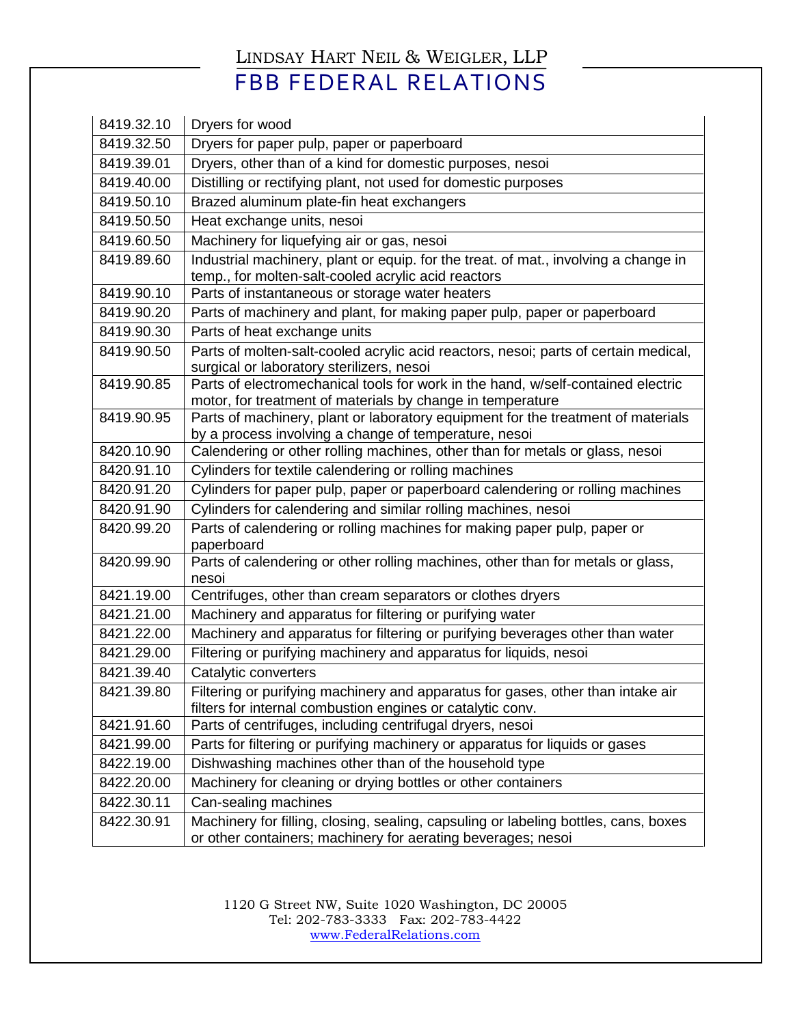| 8419.32.10 | Dryers for wood                                                                                                                                     |
|------------|-----------------------------------------------------------------------------------------------------------------------------------------------------|
| 8419.32.50 | Dryers for paper pulp, paper or paperboard                                                                                                          |
| 8419.39.01 | Dryers, other than of a kind for domestic purposes, nesoi                                                                                           |
| 8419.40.00 | Distilling or rectifying plant, not used for domestic purposes                                                                                      |
| 8419.50.10 | Brazed aluminum plate-fin heat exchangers                                                                                                           |
| 8419.50.50 | Heat exchange units, nesoi                                                                                                                          |
| 8419.60.50 | Machinery for liquefying air or gas, nesoi                                                                                                          |
| 8419.89.60 | Industrial machinery, plant or equip. for the treat. of mat., involving a change in                                                                 |
|            | temp., for molten-salt-cooled acrylic acid reactors                                                                                                 |
| 8419.90.10 | Parts of instantaneous or storage water heaters                                                                                                     |
| 8419.90.20 | Parts of machinery and plant, for making paper pulp, paper or paperboard                                                                            |
| 8419.90.30 | Parts of heat exchange units                                                                                                                        |
| 8419.90.50 | Parts of molten-salt-cooled acrylic acid reactors, nesoi; parts of certain medical,                                                                 |
| 8419.90.85 | surgical or laboratory sterilizers, nesoi<br>Parts of electromechanical tools for work in the hand, w/self-contained electric                       |
|            | motor, for treatment of materials by change in temperature                                                                                          |
| 8419.90.95 | Parts of machinery, plant or laboratory equipment for the treatment of materials                                                                    |
|            | by a process involving a change of temperature, nesoi                                                                                               |
| 8420.10.90 | Calendering or other rolling machines, other than for metals or glass, nesoi                                                                        |
| 8420.91.10 | Cylinders for textile calendering or rolling machines                                                                                               |
| 8420.91.20 | Cylinders for paper pulp, paper or paperboard calendering or rolling machines                                                                       |
| 8420.91.90 | Cylinders for calendering and similar rolling machines, nesoi                                                                                       |
| 8420.99.20 | Parts of calendering or rolling machines for making paper pulp, paper or                                                                            |
|            | paperboard                                                                                                                                          |
| 8420.99.90 | Parts of calendering or other rolling machines, other than for metals or glass,<br>nesoi                                                            |
| 8421.19.00 | Centrifuges, other than cream separators or clothes dryers                                                                                          |
| 8421.21.00 | Machinery and apparatus for filtering or purifying water                                                                                            |
| 8421.22.00 | Machinery and apparatus for filtering or purifying beverages other than water                                                                       |
| 8421.29.00 | Filtering or purifying machinery and apparatus for liquids, nesoi                                                                                   |
| 8421.39.40 | Catalytic converters                                                                                                                                |
| 8421.39.80 | Filtering or purifying machinery and apparatus for gases, other than intake air                                                                     |
|            | filters for internal combustion engines or catalytic conv.                                                                                          |
| 8421.91.60 | Parts of centrifuges, including centrifugal dryers, nesoi                                                                                           |
| 8421.99.00 | Parts for filtering or purifying machinery or apparatus for liquids or gases                                                                        |
| 8422.19.00 | Dishwashing machines other than of the household type                                                                                               |
| 8422.20.00 | Machinery for cleaning or drying bottles or other containers                                                                                        |
| 8422.30.11 | Can-sealing machines                                                                                                                                |
| 8422.30.91 | Machinery for filling, closing, sealing, capsuling or labeling bottles, cans, boxes<br>or other containers; machinery for aerating beverages; nesoi |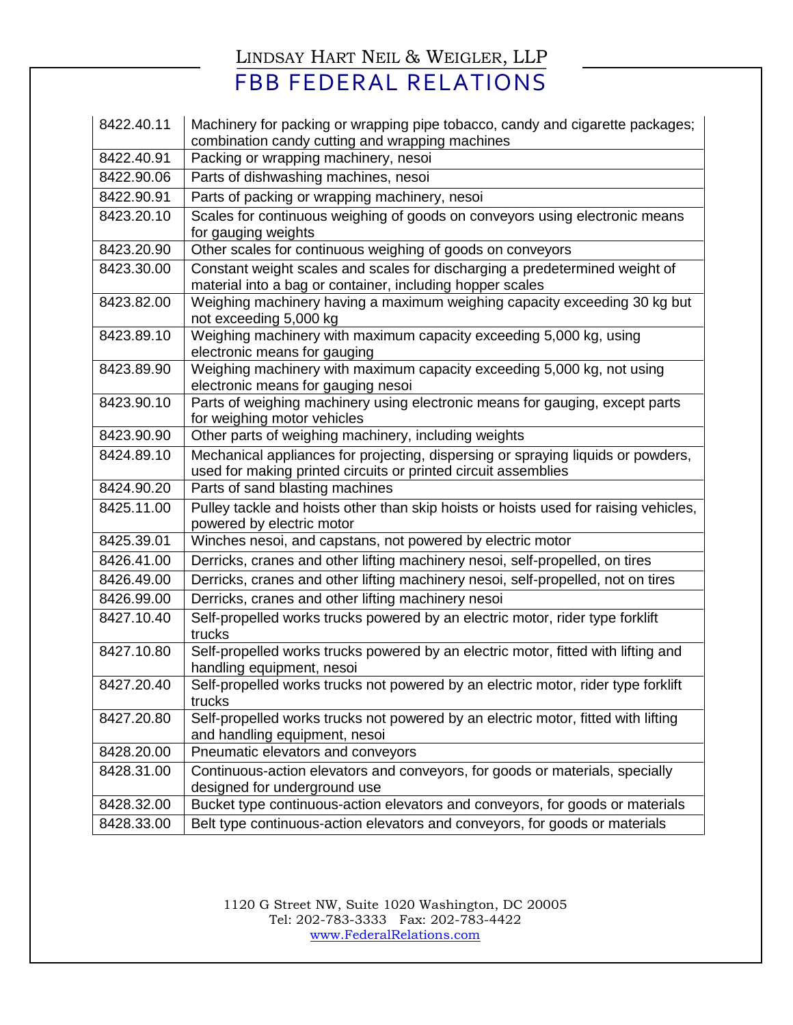| 8422.40.11 | Machinery for packing or wrapping pipe tobacco, candy and cigarette packages;<br>combination candy cutting and wrapping machines                   |
|------------|----------------------------------------------------------------------------------------------------------------------------------------------------|
| 8422.40.91 | Packing or wrapping machinery, nesoi                                                                                                               |
| 8422.90.06 | Parts of dishwashing machines, nesoi                                                                                                               |
| 8422.90.91 | Parts of packing or wrapping machinery, nesoi                                                                                                      |
| 8423.20.10 | Scales for continuous weighing of goods on conveyors using electronic means<br>for gauging weights                                                 |
| 8423.20.90 | Other scales for continuous weighing of goods on conveyors                                                                                         |
| 8423.30.00 | Constant weight scales and scales for discharging a predetermined weight of<br>material into a bag or container, including hopper scales           |
| 8423.82.00 | Weighing machinery having a maximum weighing capacity exceeding 30 kg but<br>not exceeding 5,000 kg                                                |
| 8423.89.10 | Weighing machinery with maximum capacity exceeding 5,000 kg, using<br>electronic means for gauging                                                 |
| 8423.89.90 | Weighing machinery with maximum capacity exceeding 5,000 kg, not using<br>electronic means for gauging nesoi                                       |
| 8423.90.10 | Parts of weighing machinery using electronic means for gauging, except parts<br>for weighing motor vehicles                                        |
| 8423.90.90 | Other parts of weighing machinery, including weights                                                                                               |
| 8424.89.10 | Mechanical appliances for projecting, dispersing or spraying liquids or powders,<br>used for making printed circuits or printed circuit assemblies |
| 8424.90.20 | Parts of sand blasting machines                                                                                                                    |
| 8425.11.00 | Pulley tackle and hoists other than skip hoists or hoists used for raising vehicles,<br>powered by electric motor                                  |
| 8425.39.01 | Winches nesoi, and capstans, not powered by electric motor                                                                                         |
| 8426.41.00 | Derricks, cranes and other lifting machinery nesoi, self-propelled, on tires                                                                       |
| 8426.49.00 | Derricks, cranes and other lifting machinery nesoi, self-propelled, not on tires                                                                   |
| 8426.99.00 | Derricks, cranes and other lifting machinery nesoi                                                                                                 |
| 8427.10.40 | Self-propelled works trucks powered by an electric motor, rider type forklift<br>trucks                                                            |
| 8427.10.80 | Self-propelled works trucks powered by an electric motor, fitted with lifting and<br>handling equipment, nesoi                                     |
| 8427.20.40 | Self-propelled works trucks not powered by an electric motor, rider type forklift<br>trucks                                                        |
| 8427.20.80 | Self-propelled works trucks not powered by an electric motor, fitted with lifting<br>and handling equipment, nesoi                                 |
| 8428.20.00 | Pneumatic elevators and conveyors                                                                                                                  |
| 8428.31.00 | Continuous-action elevators and conveyors, for goods or materials, specially<br>designed for underground use                                       |
| 8428.32.00 | Bucket type continuous-action elevators and conveyors, for goods or materials                                                                      |
| 8428.33.00 | Belt type continuous-action elevators and conveyors, for goods or materials                                                                        |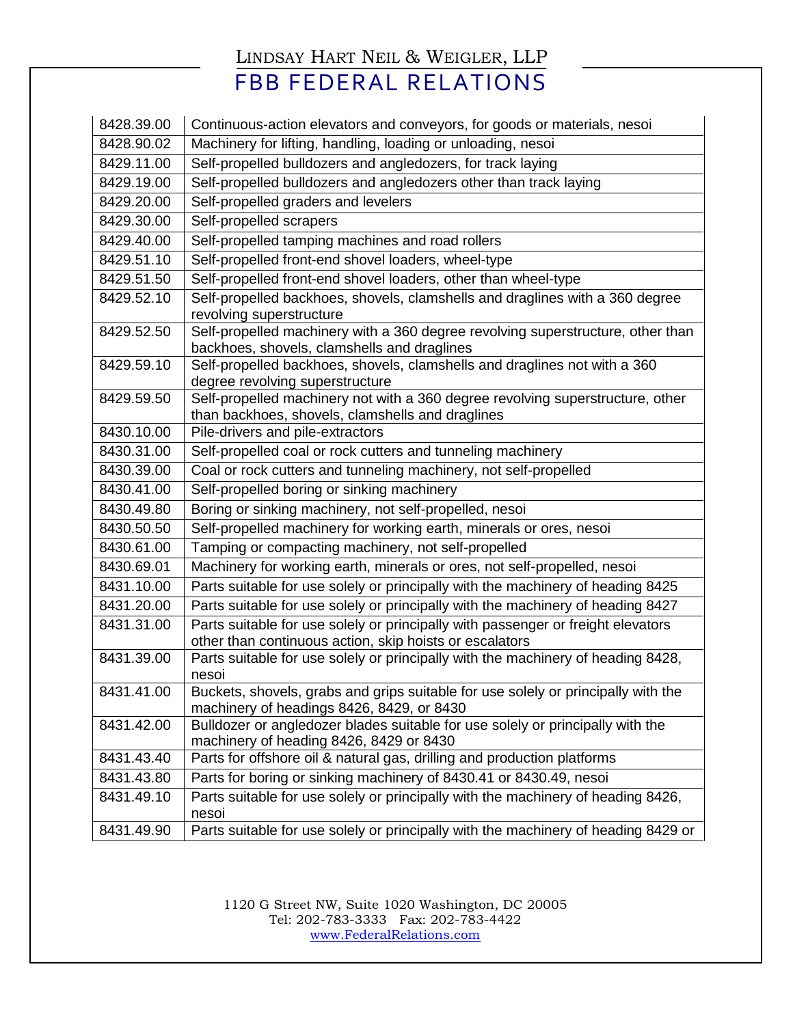| 8428.39.00 | Continuous-action elevators and conveyors, for goods or materials, nesoi                                                                    |
|------------|---------------------------------------------------------------------------------------------------------------------------------------------|
| 8428.90.02 | Machinery for lifting, handling, loading or unloading, nesoi                                                                                |
| 8429.11.00 | Self-propelled bulldozers and angledozers, for track laying                                                                                 |
| 8429.19.00 | Self-propelled bulldozers and angledozers other than track laying                                                                           |
| 8429.20.00 | Self-propelled graders and levelers                                                                                                         |
| 8429.30.00 | Self-propelled scrapers                                                                                                                     |
| 8429.40.00 | Self-propelled tamping machines and road rollers                                                                                            |
| 8429.51.10 | Self-propelled front-end shovel loaders, wheel-type                                                                                         |
| 8429.51.50 | Self-propelled front-end shovel loaders, other than wheel-type                                                                              |
| 8429.52.10 | Self-propelled backhoes, shovels, clamshells and draglines with a 360 degree<br>revolving superstructure                                    |
| 8429.52.50 | Self-propelled machinery with a 360 degree revolving superstructure, other than<br>backhoes, shovels, clamshells and draglines              |
| 8429.59.10 | Self-propelled backhoes, shovels, clamshells and draglines not with a 360<br>degree revolving superstructure                                |
| 8429.59.50 | Self-propelled machinery not with a 360 degree revolving superstructure, other<br>than backhoes, shovels, clamshells and draglines          |
| 8430.10.00 | Pile-drivers and pile-extractors                                                                                                            |
| 8430.31.00 | Self-propelled coal or rock cutters and tunneling machinery                                                                                 |
| 8430.39.00 | Coal or rock cutters and tunneling machinery, not self-propelled                                                                            |
| 8430.41.00 | Self-propelled boring or sinking machinery                                                                                                  |
| 8430.49.80 | Boring or sinking machinery, not self-propelled, nesoi                                                                                      |
| 8430.50.50 | Self-propelled machinery for working earth, minerals or ores, nesoi                                                                         |
| 8430.61.00 | Tamping or compacting machinery, not self-propelled                                                                                         |
| 8430.69.01 | Machinery for working earth, minerals or ores, not self-propelled, nesoi                                                                    |
| 8431.10.00 | Parts suitable for use solely or principally with the machinery of heading 8425                                                             |
| 8431.20.00 | Parts suitable for use solely or principally with the machinery of heading 8427                                                             |
| 8431.31.00 | Parts suitable for use solely or principally with passenger or freight elevators<br>other than continuous action, skip hoists or escalators |
| 8431.39.00 | Parts suitable for use solely or principally with the machinery of heading 8428,<br>nesoi                                                   |
| 8431.41.00 | Buckets, shovels, grabs and grips suitable for use solely or principally with the<br>machinery of headings 8426, 8429, or 8430              |
| 8431.42.00 | Bulldozer or angledozer blades suitable for use solely or principally with the<br>machinery of heading 8426, 8429 or 8430                   |
| 8431.43.40 | Parts for offshore oil & natural gas, drilling and production platforms                                                                     |
| 8431.43.80 | Parts for boring or sinking machinery of 8430.41 or 8430.49, nesoi                                                                          |
| 8431.49.10 | Parts suitable for use solely or principally with the machinery of heading 8426,<br>nesoi                                                   |
| 8431.49.90 | Parts suitable for use solely or principally with the machinery of heading 8429 or                                                          |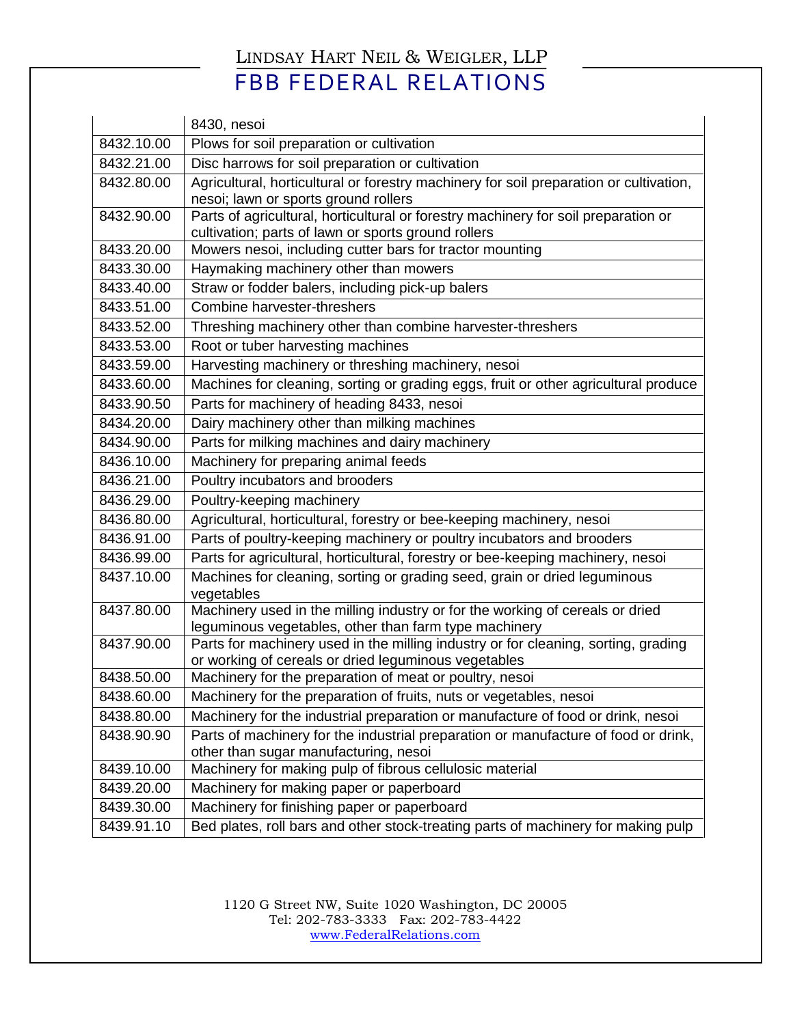|            | 8430, nesoi                                                                                 |
|------------|---------------------------------------------------------------------------------------------|
| 8432.10.00 | Plows for soil preparation or cultivation                                                   |
| 8432.21.00 | Disc harrows for soil preparation or cultivation                                            |
| 8432.80.00 | Agricultural, horticultural or forestry machinery for soil preparation or cultivation,      |
|            | nesoi; lawn or sports ground rollers                                                        |
| 8432.90.00 | Parts of agricultural, horticultural or forestry machinery for soil preparation or          |
|            | cultivation; parts of lawn or sports ground rollers                                         |
| 8433.20.00 | Mowers nesoi, including cutter bars for tractor mounting                                    |
| 8433.30.00 | Haymaking machinery other than mowers                                                       |
| 8433.40.00 | Straw or fodder balers, including pick-up balers                                            |
| 8433.51.00 | Combine harvester-threshers                                                                 |
| 8433.52.00 | Threshing machinery other than combine harvester-threshers                                  |
| 8433.53.00 | Root or tuber harvesting machines                                                           |
| 8433.59.00 | Harvesting machinery or threshing machinery, nesoi                                          |
| 8433.60.00 | Machines for cleaning, sorting or grading eggs, fruit or other agricultural produce         |
| 8433.90.50 | Parts for machinery of heading 8433, nesoi                                                  |
| 8434.20.00 | Dairy machinery other than milking machines                                                 |
| 8434.90.00 | Parts for milking machines and dairy machinery                                              |
| 8436.10.00 | Machinery for preparing animal feeds                                                        |
| 8436.21.00 | Poultry incubators and brooders                                                             |
| 8436.29.00 | Poultry-keeping machinery                                                                   |
| 8436.80.00 | Agricultural, horticultural, forestry or bee-keeping machinery, nesoi                       |
| 8436.91.00 | Parts of poultry-keeping machinery or poultry incubators and brooders                       |
| 8436.99.00 | Parts for agricultural, horticultural, forestry or bee-keeping machinery, nesoi             |
| 8437.10.00 | Machines for cleaning, sorting or grading seed, grain or dried leguminous                   |
| 8437.80.00 | vegetables<br>Machinery used in the milling industry or for the working of cereals or dried |
|            | leguminous vegetables, other than farm type machinery                                       |
| 8437.90.00 | Parts for machinery used in the milling industry or for cleaning, sorting, grading          |
|            | or working of cereals or dried leguminous vegetables                                        |
| 8438.50.00 | Machinery for the preparation of meat or poultry, nesoi                                     |
| 8438.60.00 | Machinery for the preparation of fruits, nuts or vegetables, nesoi                          |
| 8438.80.00 | Machinery for the industrial preparation or manufacture of food or drink, nesoi             |
| 8438.90.90 | Parts of machinery for the industrial preparation or manufacture of food or drink,          |
|            | other than sugar manufacturing, nesoi                                                       |
| 8439.10.00 | Machinery for making pulp of fibrous cellulosic material                                    |
| 8439.20.00 | Machinery for making paper or paperboard                                                    |
| 8439.30.00 | Machinery for finishing paper or paperboard                                                 |
| 8439.91.10 | Bed plates, roll bars and other stock-treating parts of machinery for making pulp           |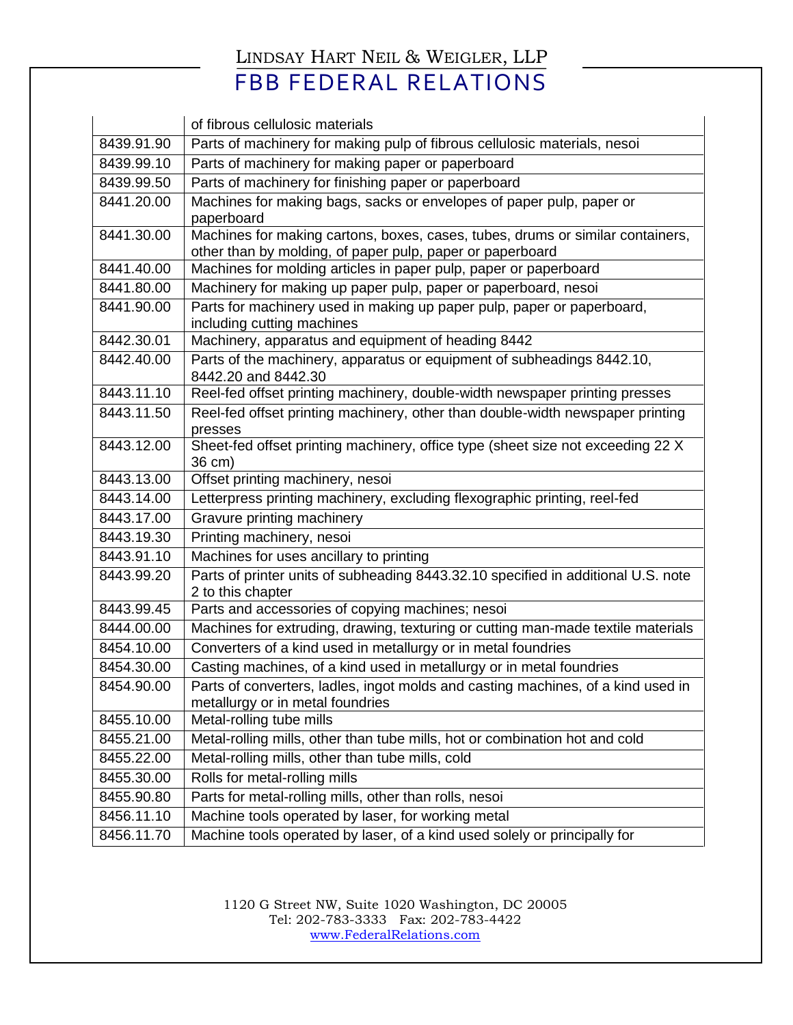|                          | of fibrous cellulosic materials                                                                                      |
|--------------------------|----------------------------------------------------------------------------------------------------------------------|
| 8439.91.90               | Parts of machinery for making pulp of fibrous cellulosic materials, nesoi                                            |
| 8439.99.10               | Parts of machinery for making paper or paperboard                                                                    |
| 8439.99.50               | Parts of machinery for finishing paper or paperboard                                                                 |
| 8441.20.00               | Machines for making bags, sacks or envelopes of paper pulp, paper or                                                 |
|                          | paperboard                                                                                                           |
| 8441.30.00               | Machines for making cartons, boxes, cases, tubes, drums or similar containers,                                       |
|                          | other than by molding, of paper pulp, paper or paperboard                                                            |
| 8441.40.00               | Machines for molding articles in paper pulp, paper or paperboard                                                     |
| 8441.80.00               | Machinery for making up paper pulp, paper or paperboard, nesoi                                                       |
| 8441.90.00               | Parts for machinery used in making up paper pulp, paper or paperboard,                                               |
| 8442.30.01               | including cutting machines<br>Machinery, apparatus and equipment of heading 8442                                     |
| 8442.40.00               | Parts of the machinery, apparatus or equipment of subheadings 8442.10,                                               |
|                          | 8442.20 and 8442.30                                                                                                  |
| 8443.11.10               | Reel-fed offset printing machinery, double-width newspaper printing presses                                          |
| 8443.11.50               | Reel-fed offset printing machinery, other than double-width newspaper printing                                       |
|                          | presses                                                                                                              |
| 8443.12.00               | Sheet-fed offset printing machinery, office type (sheet size not exceeding 22 X                                      |
|                          | 36 cm)                                                                                                               |
| 8443.13.00               | Offset printing machinery, nesoi                                                                                     |
| 8443.14.00               | Letterpress printing machinery, excluding flexographic printing, reel-fed                                            |
| 8443.17.00               | Gravure printing machinery                                                                                           |
| 8443.19.30               | Printing machinery, nesoi                                                                                            |
| 8443.91.10               | Machines for uses ancillary to printing                                                                              |
| 8443.99.20               | Parts of printer units of subheading 8443.32.10 specified in additional U.S. note                                    |
| 8443.99.45               | 2 to this chapter<br>Parts and accessories of copying machines; nesoi                                                |
| 8444.00.00               | Machines for extruding, drawing, texturing or cutting man-made textile materials                                     |
| 8454.10.00               | Converters of a kind used in metallurgy or in metal foundries                                                        |
|                          | Casting machines, of a kind used in metallurgy or in metal foundries                                                 |
| 8454.30.00<br>8454.90.00 |                                                                                                                      |
|                          | Parts of converters, ladles, ingot molds and casting machines, of a kind used in<br>metallurgy or in metal foundries |
| 8455.10.00               | Metal-rolling tube mills                                                                                             |
| 8455.21.00               | Metal-rolling mills, other than tube mills, hot or combination hot and cold                                          |
| 8455.22.00               | Metal-rolling mills, other than tube mills, cold                                                                     |
| 8455.30.00               | Rolls for metal-rolling mills                                                                                        |
| 8455.90.80               | Parts for metal-rolling mills, other than rolls, nesoi                                                               |
| 8456.11.10               | Machine tools operated by laser, for working metal                                                                   |
| 8456.11.70               | Machine tools operated by laser, of a kind used solely or principally for                                            |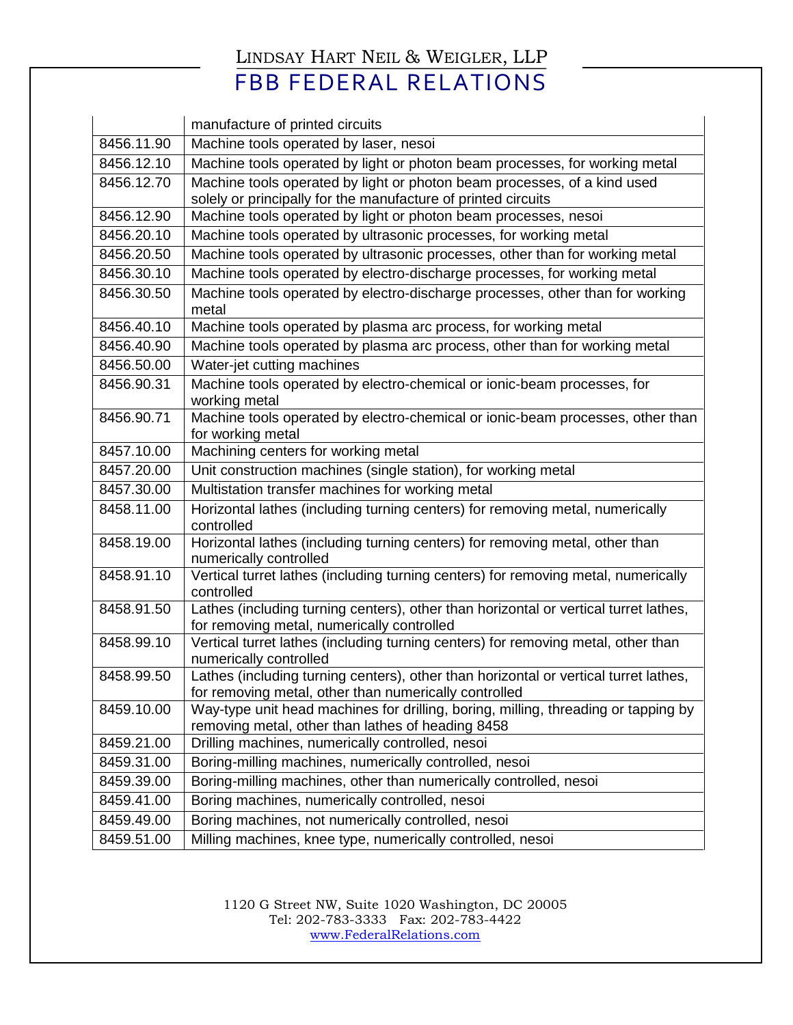|            | manufacture of printed circuits                                                                                                               |
|------------|-----------------------------------------------------------------------------------------------------------------------------------------------|
| 8456.11.90 | Machine tools operated by laser, nesoi                                                                                                        |
| 8456.12.10 | Machine tools operated by light or photon beam processes, for working metal                                                                   |
| 8456.12.70 | Machine tools operated by light or photon beam processes, of a kind used                                                                      |
|            | solely or principally for the manufacture of printed circuits                                                                                 |
| 8456.12.90 | Machine tools operated by light or photon beam processes, nesoi                                                                               |
| 8456.20.10 | Machine tools operated by ultrasonic processes, for working metal                                                                             |
| 8456.20.50 | Machine tools operated by ultrasonic processes, other than for working metal                                                                  |
| 8456.30.10 | Machine tools operated by electro-discharge processes, for working metal                                                                      |
| 8456.30.50 | Machine tools operated by electro-discharge processes, other than for working<br>metal                                                        |
| 8456.40.10 | Machine tools operated by plasma arc process, for working metal                                                                               |
| 8456.40.90 | Machine tools operated by plasma arc process, other than for working metal                                                                    |
| 8456.50.00 | Water-jet cutting machines                                                                                                                    |
| 8456.90.31 | Machine tools operated by electro-chemical or ionic-beam processes, for<br>working metal                                                      |
| 8456.90.71 | Machine tools operated by electro-chemical or ionic-beam processes, other than<br>for working metal                                           |
| 8457.10.00 | Machining centers for working metal                                                                                                           |
| 8457.20.00 | Unit construction machines (single station), for working metal                                                                                |
| 8457.30.00 | Multistation transfer machines for working metal                                                                                              |
| 8458.11.00 | Horizontal lathes (including turning centers) for removing metal, numerically<br>controlled                                                   |
| 8458.19.00 | Horizontal lathes (including turning centers) for removing metal, other than<br>numerically controlled                                        |
| 8458.91.10 | Vertical turret lathes (including turning centers) for removing metal, numerically<br>controlled                                              |
| 8458.91.50 | Lathes (including turning centers), other than horizontal or vertical turret lathes,<br>for removing metal, numerically controlled            |
| 8458.99.10 | Vertical turret lathes (including turning centers) for removing metal, other than<br>numerically controlled                                   |
| 8458.99.50 | Lathes (including turning centers), other than horizontal or vertical turret lathes,<br>for removing metal, other than numerically controlled |
| 8459.10.00 | Way-type unit head machines for drilling, boring, milling, threading or tapping by                                                            |
|            | removing metal, other than lathes of heading 8458                                                                                             |
| 8459.21.00 | Drilling machines, numerically controlled, nesoi                                                                                              |
| 8459.31.00 | Boring-milling machines, numerically controlled, nesoi                                                                                        |
| 8459.39.00 | Boring-milling machines, other than numerically controlled, nesoi                                                                             |
| 8459.41.00 | Boring machines, numerically controlled, nesoi                                                                                                |
| 8459.49.00 | Boring machines, not numerically controlled, nesoi                                                                                            |
| 8459.51.00 | Milling machines, knee type, numerically controlled, nesoi                                                                                    |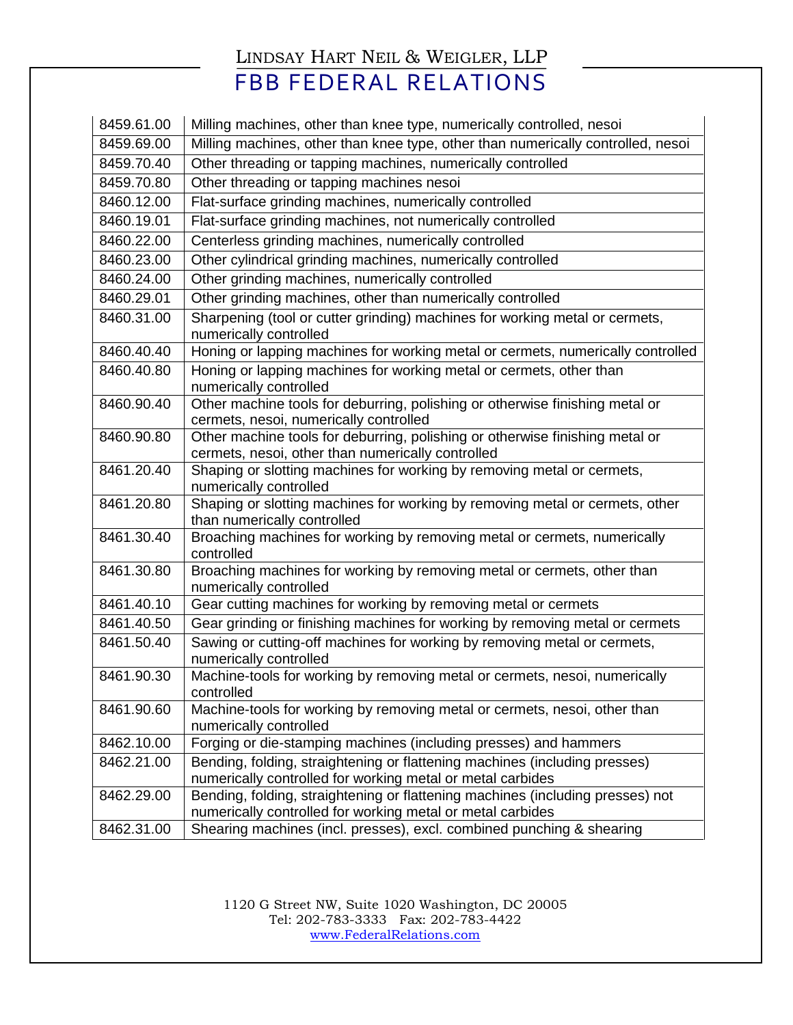| 8459.61.00 | Milling machines, other than knee type, numerically controlled, nesoi                                                                        |
|------------|----------------------------------------------------------------------------------------------------------------------------------------------|
| 8459.69.00 | Milling machines, other than knee type, other than numerically controlled, nesoi                                                             |
| 8459.70.40 | Other threading or tapping machines, numerically controlled                                                                                  |
| 8459.70.80 | Other threading or tapping machines nesoi                                                                                                    |
| 8460.12.00 | Flat-surface grinding machines, numerically controlled                                                                                       |
| 8460.19.01 | Flat-surface grinding machines, not numerically controlled                                                                                   |
| 8460.22.00 | Centerless grinding machines, numerically controlled                                                                                         |
| 8460.23.00 | Other cylindrical grinding machines, numerically controlled                                                                                  |
| 8460.24.00 | Other grinding machines, numerically controlled                                                                                              |
| 8460.29.01 | Other grinding machines, other than numerically controlled                                                                                   |
| 8460.31.00 | Sharpening (tool or cutter grinding) machines for working metal or cermets,<br>numerically controlled                                        |
| 8460.40.40 | Honing or lapping machines for working metal or cermets, numerically controlled                                                              |
| 8460.40.80 | Honing or lapping machines for working metal or cermets, other than<br>numerically controlled                                                |
| 8460.90.40 | Other machine tools for deburring, polishing or otherwise finishing metal or<br>cermets, nesoi, numerically controlled                       |
| 8460.90.80 | Other machine tools for deburring, polishing or otherwise finishing metal or<br>cermets, nesoi, other than numerically controlled            |
| 8461.20.40 | Shaping or slotting machines for working by removing metal or cermets,<br>numerically controlled                                             |
| 8461.20.80 | Shaping or slotting machines for working by removing metal or cermets, other<br>than numerically controlled                                  |
| 8461.30.40 | Broaching machines for working by removing metal or cermets, numerically<br>controlled                                                       |
| 8461.30.80 | Broaching machines for working by removing metal or cermets, other than<br>numerically controlled                                            |
| 8461.40.10 | Gear cutting machines for working by removing metal or cermets                                                                               |
| 8461.40.50 | Gear grinding or finishing machines for working by removing metal or cermets                                                                 |
| 8461.50.40 | Sawing or cutting-off machines for working by removing metal or cermets,<br>numerically controlled                                           |
| 8461.90.30 | Machine-tools for working by removing metal or cermets, nesoi, numerically<br>controlled                                                     |
| 8461.90.60 | Machine-tools for working by removing metal or cermets, nesoi, other than<br>numerically controlled                                          |
| 8462.10.00 | Forging or die-stamping machines (including presses) and hammers                                                                             |
| 8462.21.00 | Bending, folding, straightening or flattening machines (including presses)<br>numerically controlled for working metal or metal carbides     |
| 8462.29.00 | Bending, folding, straightening or flattening machines (including presses) not<br>numerically controlled for working metal or metal carbides |
| 8462.31.00 | Shearing machines (incl. presses), excl. combined punching & shearing                                                                        |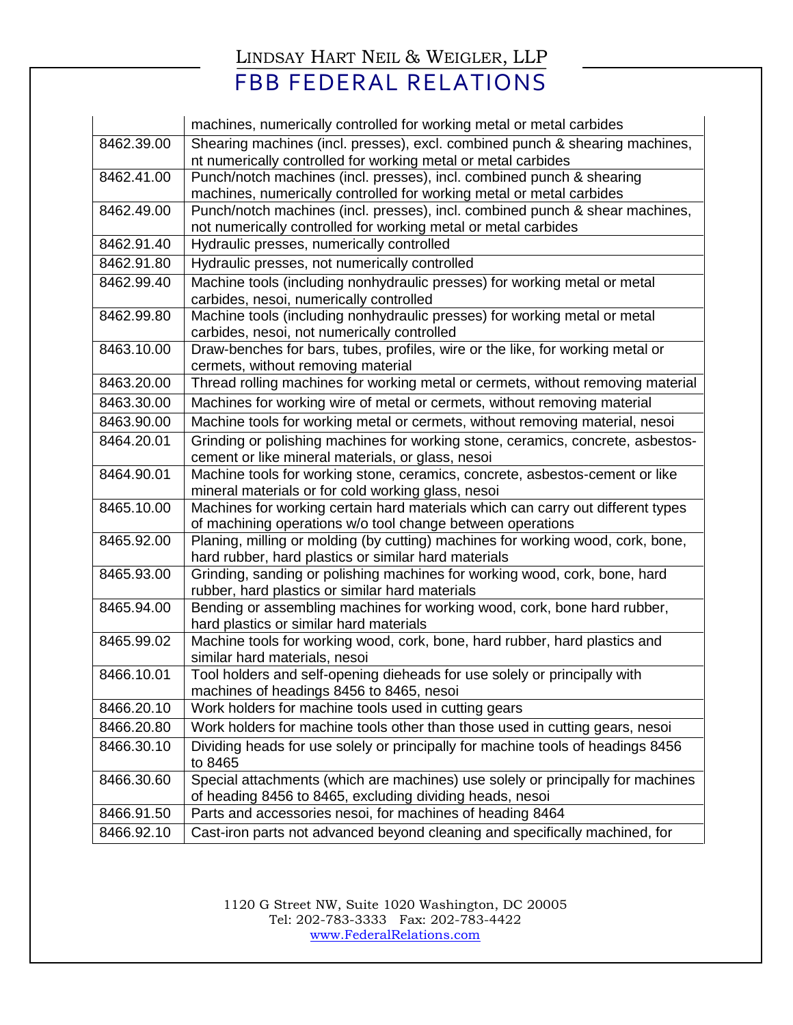|            | machines, numerically controlled for working metal or metal carbides                                                                    |
|------------|-----------------------------------------------------------------------------------------------------------------------------------------|
| 8462.39.00 | Shearing machines (incl. presses), excl. combined punch & shearing machines,                                                            |
|            | nt numerically controlled for working metal or metal carbides                                                                           |
| 8462.41.00 | Punch/notch machines (incl. presses), incl. combined punch & shearing                                                                   |
|            | machines, numerically controlled for working metal or metal carbides                                                                    |
| 8462.49.00 | Punch/notch machines (incl. presses), incl. combined punch & shear machines,                                                            |
|            | not numerically controlled for working metal or metal carbides                                                                          |
| 8462.91.40 | Hydraulic presses, numerically controlled                                                                                               |
| 8462.91.80 | Hydraulic presses, not numerically controlled                                                                                           |
| 8462.99.40 | Machine tools (including nonhydraulic presses) for working metal or metal<br>carbides, nesoi, numerically controlled                    |
| 8462.99.80 | Machine tools (including nonhydraulic presses) for working metal or metal                                                               |
|            | carbides, nesoi, not numerically controlled                                                                                             |
| 8463.10.00 | Draw-benches for bars, tubes, profiles, wire or the like, for working metal or                                                          |
|            | cermets, without removing material                                                                                                      |
| 8463.20.00 | Thread rolling machines for working metal or cermets, without removing material                                                         |
| 8463.30.00 | Machines for working wire of metal or cermets, without removing material                                                                |
| 8463.90.00 | Machine tools for working metal or cermets, without removing material, nesoi                                                            |
| 8464.20.01 | Grinding or polishing machines for working stone, ceramics, concrete, asbestos-                                                         |
|            | cement or like mineral materials, or glass, nesoi                                                                                       |
| 8464.90.01 | Machine tools for working stone, ceramics, concrete, asbestos-cement or like                                                            |
|            | mineral materials or for cold working glass, nesoi                                                                                      |
| 8465.10.00 | Machines for working certain hard materials which can carry out different types                                                         |
|            | of machining operations w/o tool change between operations                                                                              |
| 8465.92.00 | Planing, milling or molding (by cutting) machines for working wood, cork, bone,<br>hard rubber, hard plastics or similar hard materials |
| 8465.93.00 | Grinding, sanding or polishing machines for working wood, cork, bone, hard                                                              |
|            | rubber, hard plastics or similar hard materials                                                                                         |
| 8465.94.00 | Bending or assembling machines for working wood, cork, bone hard rubber,                                                                |
|            | hard plastics or similar hard materials                                                                                                 |
| 8465.99.02 | Machine tools for working wood, cork, bone, hard rubber, hard plastics and                                                              |
|            | similar hard materials, nesoi                                                                                                           |
| 8466.10.01 | Tool holders and self-opening dieheads for use solely or principally with                                                               |
|            | machines of headings 8456 to 8465, nesoi                                                                                                |
| 8466.20.10 | Work holders for machine tools used in cutting gears                                                                                    |
| 8466.20.80 | Work holders for machine tools other than those used in cutting gears, nesoi                                                            |
| 8466.30.10 | Dividing heads for use solely or principally for machine tools of headings 8456<br>to 8465                                              |
| 8466.30.60 | Special attachments (which are machines) use solely or principally for machines                                                         |
|            | of heading 8456 to 8465, excluding dividing heads, nesoi                                                                                |
| 8466.91.50 | Parts and accessories nesoi, for machines of heading 8464                                                                               |
| 8466.92.10 | Cast-iron parts not advanced beyond cleaning and specifically machined, for                                                             |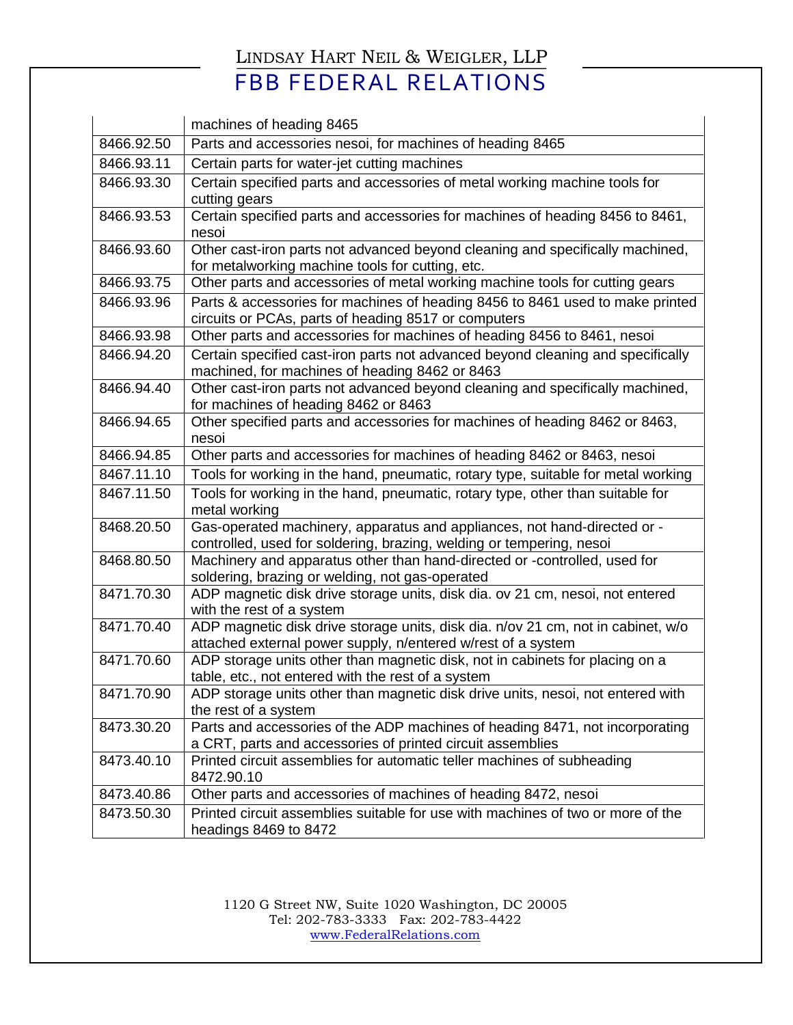|            | machines of heading 8465                                                                                                                         |
|------------|--------------------------------------------------------------------------------------------------------------------------------------------------|
| 8466.92.50 | Parts and accessories nesoi, for machines of heading 8465                                                                                        |
| 8466.93.11 | Certain parts for water-jet cutting machines                                                                                                     |
| 8466.93.30 | Certain specified parts and accessories of metal working machine tools for                                                                       |
|            | cutting gears                                                                                                                                    |
| 8466.93.53 | Certain specified parts and accessories for machines of heading 8456 to 8461,                                                                    |
|            | nesoi                                                                                                                                            |
| 8466.93.60 | Other cast-iron parts not advanced beyond cleaning and specifically machined,                                                                    |
|            | for metalworking machine tools for cutting, etc.                                                                                                 |
| 8466.93.75 | Other parts and accessories of metal working machine tools for cutting gears                                                                     |
| 8466.93.96 | Parts & accessories for machines of heading 8456 to 8461 used to make printed<br>circuits or PCAs, parts of heading 8517 or computers            |
| 8466.93.98 | Other parts and accessories for machines of heading 8456 to 8461, nesoi                                                                          |
| 8466.94.20 | Certain specified cast-iron parts not advanced beyond cleaning and specifically                                                                  |
|            | machined, for machines of heading 8462 or 8463                                                                                                   |
| 8466.94.40 | Other cast-iron parts not advanced beyond cleaning and specifically machined,                                                                    |
|            | for machines of heading 8462 or 8463                                                                                                             |
| 8466.94.65 | Other specified parts and accessories for machines of heading 8462 or 8463,                                                                      |
|            | nesoi                                                                                                                                            |
| 8466.94.85 | Other parts and accessories for machines of heading 8462 or 8463, nesoi                                                                          |
| 8467.11.10 | Tools for working in the hand, pneumatic, rotary type, suitable for metal working                                                                |
| 8467.11.50 | Tools for working in the hand, pneumatic, rotary type, other than suitable for<br>metal working                                                  |
| 8468.20.50 | Gas-operated machinery, apparatus and appliances, not hand-directed or -                                                                         |
|            | controlled, used for soldering, brazing, welding or tempering, nesoi                                                                             |
| 8468.80.50 | Machinery and apparatus other than hand-directed or -controlled, used for                                                                        |
|            | soldering, brazing or welding, not gas-operated                                                                                                  |
| 8471.70.30 | ADP magnetic disk drive storage units, disk dia. ov 21 cm, nesoi, not entered                                                                    |
|            | with the rest of a system                                                                                                                        |
| 8471.70.40 | ADP magnetic disk drive storage units, disk dia. n/ov 21 cm, not in cabinet, w/o<br>attached external power supply, n/entered w/rest of a system |
| 8471.70.60 | ADP storage units other than magnetic disk, not in cabinets for placing on a                                                                     |
|            | table, etc., not entered with the rest of a system                                                                                               |
| 8471.70.90 | ADP storage units other than magnetic disk drive units, nesoi, not entered with                                                                  |
|            | the rest of a system                                                                                                                             |
| 8473.30.20 | Parts and accessories of the ADP machines of heading 8471, not incorporating                                                                     |
|            | a CRT, parts and accessories of printed circuit assemblies                                                                                       |
| 8473.40.10 | Printed circuit assemblies for automatic teller machines of subheading                                                                           |
|            | 8472.90.10                                                                                                                                       |
| 8473.40.86 | Other parts and accessories of machines of heading 8472, nesoi                                                                                   |
| 8473.50.30 | Printed circuit assemblies suitable for use with machines of two or more of the                                                                  |
|            | headings 8469 to 8472                                                                                                                            |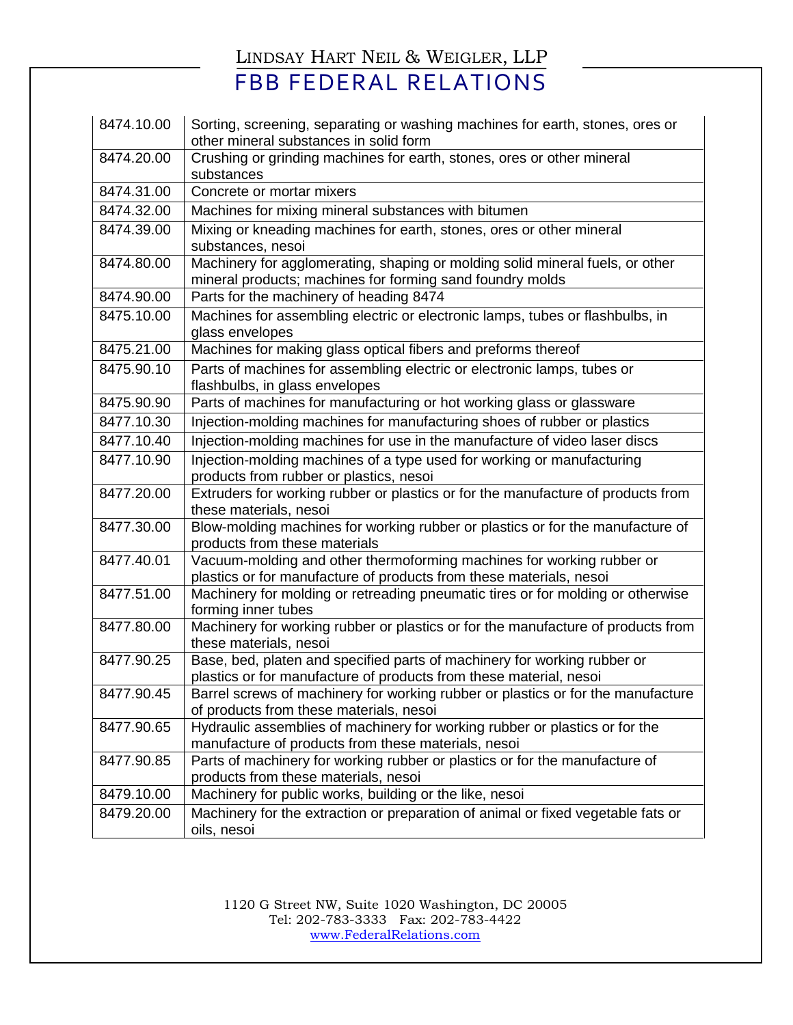| 8474.10.00 | Sorting, screening, separating or washing machines for earth, stones, ores or<br>other mineral substances in solid form                        |
|------------|------------------------------------------------------------------------------------------------------------------------------------------------|
| 8474.20.00 | Crushing or grinding machines for earth, stones, ores or other mineral<br>substances                                                           |
| 8474.31.00 | Concrete or mortar mixers                                                                                                                      |
| 8474.32.00 | Machines for mixing mineral substances with bitumen                                                                                            |
| 8474.39.00 | Mixing or kneading machines for earth, stones, ores or other mineral<br>substances, nesoi                                                      |
| 8474.80.00 | Machinery for agglomerating, shaping or molding solid mineral fuels, or other<br>mineral products; machines for forming sand foundry molds     |
| 8474.90.00 | Parts for the machinery of heading 8474                                                                                                        |
| 8475.10.00 | Machines for assembling electric or electronic lamps, tubes or flashbulbs, in<br>glass envelopes                                               |
| 8475.21.00 | Machines for making glass optical fibers and preforms thereof                                                                                  |
| 8475.90.10 | Parts of machines for assembling electric or electronic lamps, tubes or<br>flashbulbs, in glass envelopes                                      |
| 8475.90.90 | Parts of machines for manufacturing or hot working glass or glassware                                                                          |
| 8477.10.30 | Injection-molding machines for manufacturing shoes of rubber or plastics                                                                       |
| 8477.10.40 | Injection-molding machines for use in the manufacture of video laser discs                                                                     |
| 8477.10.90 | Injection-molding machines of a type used for working or manufacturing<br>products from rubber or plastics, nesoi                              |
| 8477.20.00 | Extruders for working rubber or plastics or for the manufacture of products from<br>these materials, nesoi                                     |
| 8477.30.00 | Blow-molding machines for working rubber or plastics or for the manufacture of<br>products from these materials                                |
| 8477.40.01 | Vacuum-molding and other thermoforming machines for working rubber or<br>plastics or for manufacture of products from these materials, nesoi   |
| 8477.51.00 | Machinery for molding or retreading pneumatic tires or for molding or otherwise<br>forming inner tubes                                         |
| 8477.80.00 | Machinery for working rubber or plastics or for the manufacture of products from<br>these materials, nesoi                                     |
| 8477.90.25 | Base, bed, platen and specified parts of machinery for working rubber or<br>plastics or for manufacture of products from these material, nesoi |
| 8477.90.45 | Barrel screws of machinery for working rubber or plastics or for the manufacture<br>of products from these materials, nesoi                    |
| 8477.90.65 | Hydraulic assemblies of machinery for working rubber or plastics or for the<br>manufacture of products from these materials, nesoi             |
| 8477.90.85 | Parts of machinery for working rubber or plastics or for the manufacture of<br>products from these materials, nesoi                            |
| 8479.10.00 | Machinery for public works, building or the like, nesoi                                                                                        |
| 8479.20.00 | Machinery for the extraction or preparation of animal or fixed vegetable fats or<br>oils, nesoi                                                |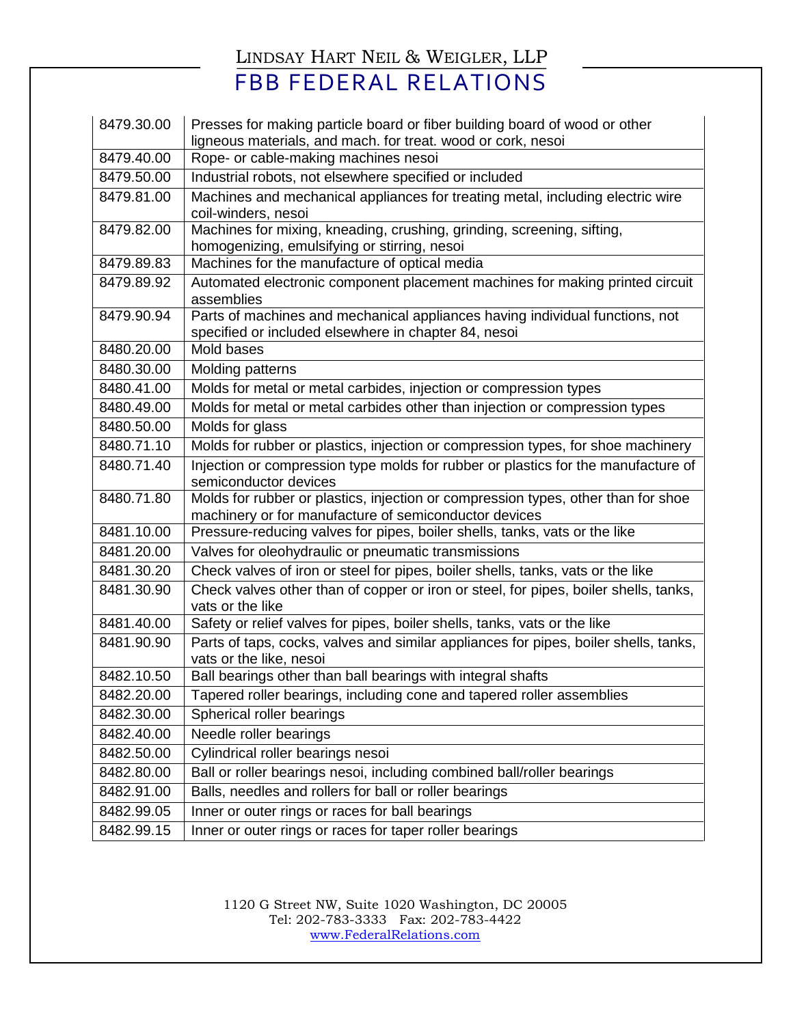| 8479.30.00 | Presses for making particle board or fiber building board of wood or other<br>ligneous materials, and mach. for treat. wood or cork, nesoi |
|------------|--------------------------------------------------------------------------------------------------------------------------------------------|
| 8479.40.00 | Rope- or cable-making machines nesoi                                                                                                       |
| 8479.50.00 | Industrial robots, not elsewhere specified or included                                                                                     |
| 8479.81.00 | Machines and mechanical appliances for treating metal, including electric wire                                                             |
|            | coil-winders, nesoi                                                                                                                        |
| 8479.82.00 | Machines for mixing, kneading, crushing, grinding, screening, sifting,                                                                     |
|            | homogenizing, emulsifying or stirring, nesoi                                                                                               |
| 8479.89.83 | Machines for the manufacture of optical media                                                                                              |
| 8479.89.92 | Automated electronic component placement machines for making printed circuit<br>assemblies                                                 |
| 8479.90.94 | Parts of machines and mechanical appliances having individual functions, not<br>specified or included elsewhere in chapter 84, nesoi       |
| 8480.20.00 | Mold bases                                                                                                                                 |
| 8480.30.00 | Molding patterns                                                                                                                           |
| 8480.41.00 | Molds for metal or metal carbides, injection or compression types                                                                          |
| 8480.49.00 | Molds for metal or metal carbides other than injection or compression types                                                                |
| 8480.50.00 | Molds for glass                                                                                                                            |
| 8480.71.10 | Molds for rubber or plastics, injection or compression types, for shoe machinery                                                           |
| 8480.71.40 | Injection or compression type molds for rubber or plastics for the manufacture of<br>semiconductor devices                                 |
| 8480.71.80 | Molds for rubber or plastics, injection or compression types, other than for shoe<br>machinery or for manufacture of semiconductor devices |
| 8481.10.00 | Pressure-reducing valves for pipes, boiler shells, tanks, vats or the like                                                                 |
| 8481.20.00 | Valves for oleohydraulic or pneumatic transmissions                                                                                        |
| 8481.30.20 | Check valves of iron or steel for pipes, boiler shells, tanks, vats or the like                                                            |
| 8481.30.90 | Check valves other than of copper or iron or steel, for pipes, boiler shells, tanks,<br>vats or the like                                   |
| 8481.40.00 | Safety or relief valves for pipes, boiler shells, tanks, vats or the like                                                                  |
| 8481.90.90 | Parts of taps, cocks, valves and similar appliances for pipes, boiler shells, tanks,<br>vats or the like, nesoi                            |
| 8482.10.50 | Ball bearings other than ball bearings with integral shafts                                                                                |
| 8482.20.00 | Tapered roller bearings, including cone and tapered roller assemblies                                                                      |
| 8482.30.00 | Spherical roller bearings                                                                                                                  |
| 8482.40.00 | Needle roller bearings                                                                                                                     |
| 8482.50.00 | Cylindrical roller bearings nesoi                                                                                                          |
| 8482.80.00 | Ball or roller bearings nesoi, including combined ball/roller bearings                                                                     |
| 8482.91.00 | Balls, needles and rollers for ball or roller bearings                                                                                     |
| 8482.99.05 | Inner or outer rings or races for ball bearings                                                                                            |
| 8482.99.15 | Inner or outer rings or races for taper roller bearings                                                                                    |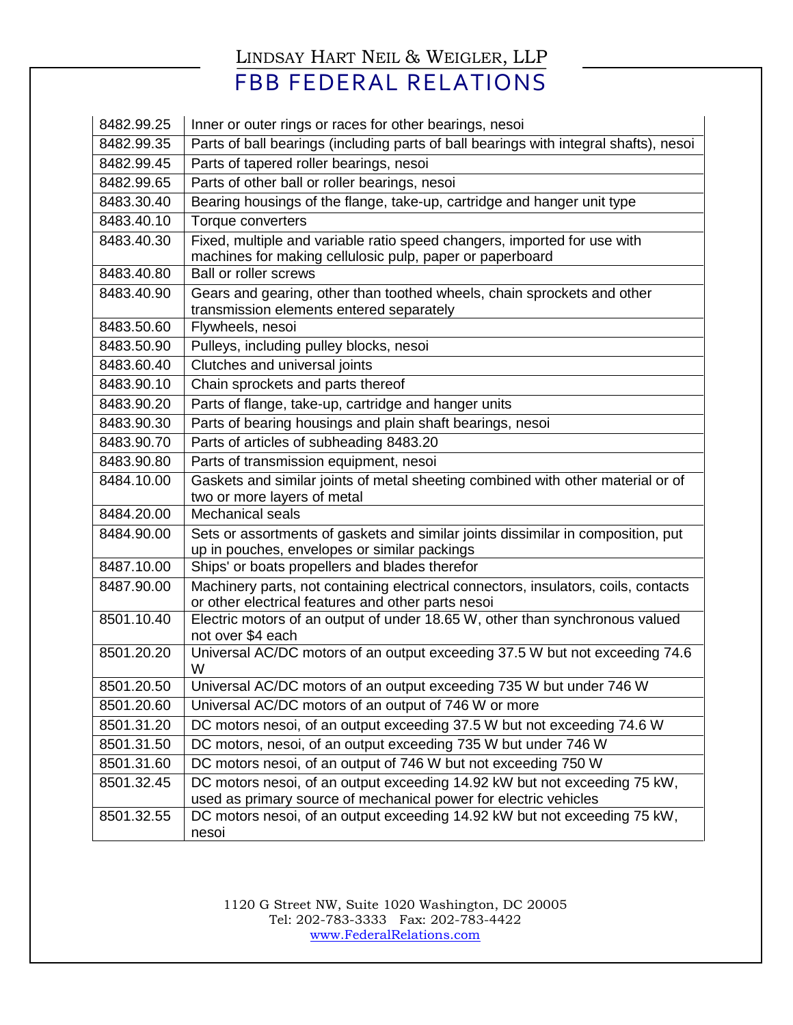| 8482.99.25 | Inner or outer rings or races for other bearings, nesoi                                                                                       |
|------------|-----------------------------------------------------------------------------------------------------------------------------------------------|
| 8482.99.35 | Parts of ball bearings (including parts of ball bearings with integral shafts), nesoi                                                         |
| 8482.99.45 | Parts of tapered roller bearings, nesoi                                                                                                       |
| 8482.99.65 | Parts of other ball or roller bearings, nesoi                                                                                                 |
| 8483.30.40 | Bearing housings of the flange, take-up, cartridge and hanger unit type                                                                       |
| 8483.40.10 | Torque converters                                                                                                                             |
| 8483.40.30 | Fixed, multiple and variable ratio speed changers, imported for use with<br>machines for making cellulosic pulp, paper or paperboard          |
| 8483.40.80 | <b>Ball or roller screws</b>                                                                                                                  |
| 8483.40.90 | Gears and gearing, other than toothed wheels, chain sprockets and other<br>transmission elements entered separately                           |
| 8483.50.60 | Flywheels, nesoi                                                                                                                              |
| 8483.50.90 | Pulleys, including pulley blocks, nesoi                                                                                                       |
| 8483.60.40 | Clutches and universal joints                                                                                                                 |
| 8483.90.10 | Chain sprockets and parts thereof                                                                                                             |
| 8483.90.20 | Parts of flange, take-up, cartridge and hanger units                                                                                          |
| 8483.90.30 | Parts of bearing housings and plain shaft bearings, nesoi                                                                                     |
| 8483.90.70 | Parts of articles of subheading 8483.20                                                                                                       |
| 8483.90.80 | Parts of transmission equipment, nesoi                                                                                                        |
| 8484.10.00 | Gaskets and similar joints of metal sheeting combined with other material or of<br>two or more layers of metal                                |
| 8484.20.00 | Mechanical seals                                                                                                                              |
| 8484.90.00 | Sets or assortments of gaskets and similar joints dissimilar in composition, put<br>up in pouches, envelopes or similar packings              |
| 8487.10.00 | Ships' or boats propellers and blades therefor                                                                                                |
| 8487.90.00 | Machinery parts, not containing electrical connectors, insulators, coils, contacts<br>or other electrical features and other parts nesoi      |
| 8501.10.40 | Electric motors of an output of under 18.65 W, other than synchronous valued<br>not over \$4 each                                             |
| 8501.20.20 | Universal AC/DC motors of an output exceeding 37.5 W but not exceeding 74.6<br>W                                                              |
| 8501.20.50 | Universal AC/DC motors of an output exceeding 735 W but under 746 W                                                                           |
| 8501.20.60 | Universal AC/DC motors of an output of 746 W or more                                                                                          |
| 8501.31.20 | DC motors nesoi, of an output exceeding 37.5 W but not exceeding 74.6 W                                                                       |
| 8501.31.50 | DC motors, nesoi, of an output exceeding 735 W but under 746 W                                                                                |
| 8501.31.60 | DC motors nesoi, of an output of 746 W but not exceeding 750 W                                                                                |
| 8501.32.45 | DC motors nesoi, of an output exceeding 14.92 kW but not exceeding 75 kW,<br>used as primary source of mechanical power for electric vehicles |
| 8501.32.55 | DC motors nesoi, of an output exceeding 14.92 kW but not exceeding 75 kW,<br>nesoi                                                            |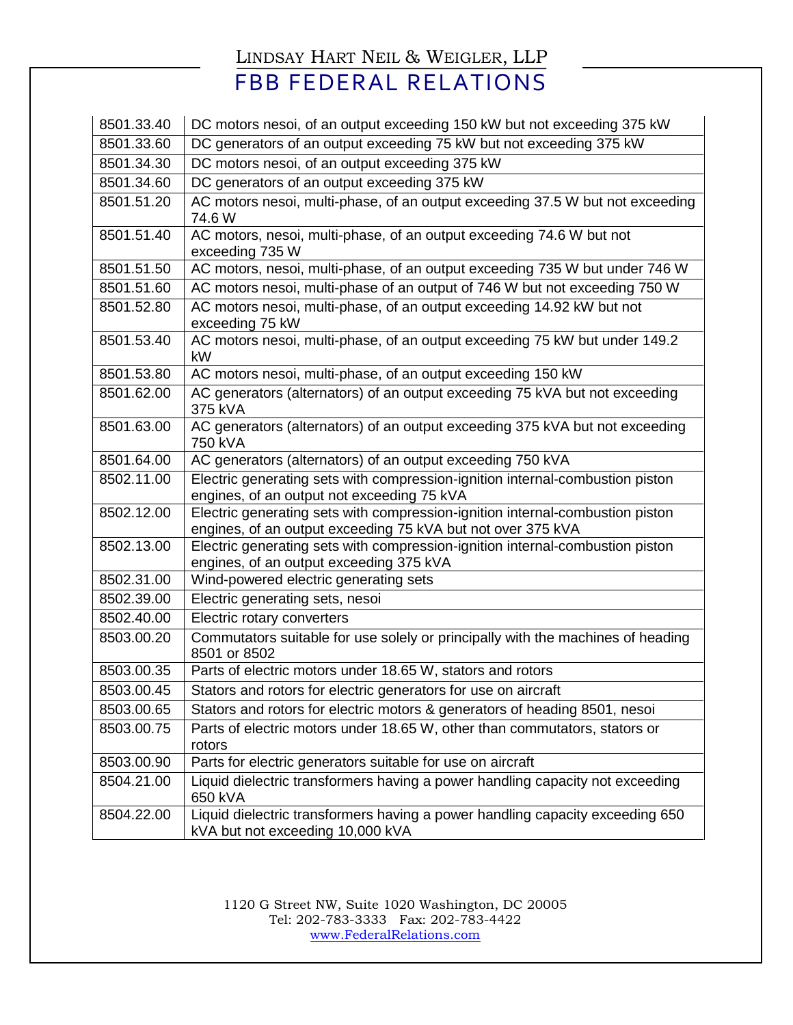| 8501.33.40 | DC motors nesoi, of an output exceeding 150 kW but not exceeding 375 kW                                                                      |
|------------|----------------------------------------------------------------------------------------------------------------------------------------------|
| 8501.33.60 | DC generators of an output exceeding 75 kW but not exceeding 375 kW                                                                          |
| 8501.34.30 | DC motors nesoi, of an output exceeding 375 kW                                                                                               |
| 8501.34.60 | DC generators of an output exceeding 375 kW                                                                                                  |
| 8501.51.20 | AC motors nesoi, multi-phase, of an output exceeding 37.5 W but not exceeding<br>74.6 W                                                      |
| 8501.51.40 | AC motors, nesoi, multi-phase, of an output exceeding 74.6 W but not<br>exceeding 735 W                                                      |
| 8501.51.50 | AC motors, nesoi, multi-phase, of an output exceeding 735 W but under 746 W                                                                  |
| 8501.51.60 | AC motors nesoi, multi-phase of an output of 746 W but not exceeding 750 W                                                                   |
| 8501.52.80 | AC motors nesoi, multi-phase, of an output exceeding 14.92 kW but not<br>exceeding 75 kW                                                     |
| 8501.53.40 | AC motors nesoi, multi-phase, of an output exceeding 75 kW but under 149.2<br>kW                                                             |
| 8501.53.80 | AC motors nesoi, multi-phase, of an output exceeding 150 kW                                                                                  |
| 8501.62.00 | AC generators (alternators) of an output exceeding 75 kVA but not exceeding<br>375 kVA                                                       |
| 8501.63.00 | AC generators (alternators) of an output exceeding 375 kVA but not exceeding<br>750 kVA                                                      |
| 8501.64.00 | AC generators (alternators) of an output exceeding 750 kVA                                                                                   |
| 8502.11.00 | Electric generating sets with compression-ignition internal-combustion piston<br>engines, of an output not exceeding 75 kVA                  |
| 8502.12.00 | Electric generating sets with compression-ignition internal-combustion piston<br>engines, of an output exceeding 75 kVA but not over 375 kVA |
| 8502.13.00 | Electric generating sets with compression-ignition internal-combustion piston<br>engines, of an output exceeding 375 kVA                     |
| 8502.31.00 | Wind-powered electric generating sets                                                                                                        |
| 8502.39.00 | Electric generating sets, nesoi                                                                                                              |
| 8502.40.00 | Electric rotary converters                                                                                                                   |
| 8503.00.20 | Commutators suitable for use solely or principally with the machines of heading<br>8501 or 8502                                              |
| 8503.00.35 | Parts of electric motors under 18.65 W, stators and rotors                                                                                   |
| 8503.00.45 | Stators and rotors for electric generators for use on aircraft                                                                               |
| 8503.00.65 | Stators and rotors for electric motors & generators of heading 8501, nesoi                                                                   |
| 8503.00.75 | Parts of electric motors under 18.65 W, other than commutators, stators or<br>rotors                                                         |
| 8503.00.90 | Parts for electric generators suitable for use on aircraft                                                                                   |
| 8504.21.00 | Liquid dielectric transformers having a power handling capacity not exceeding<br>650 kVA                                                     |
| 8504.22.00 | Liquid dielectric transformers having a power handling capacity exceeding 650<br>kVA but not exceeding 10,000 kVA                            |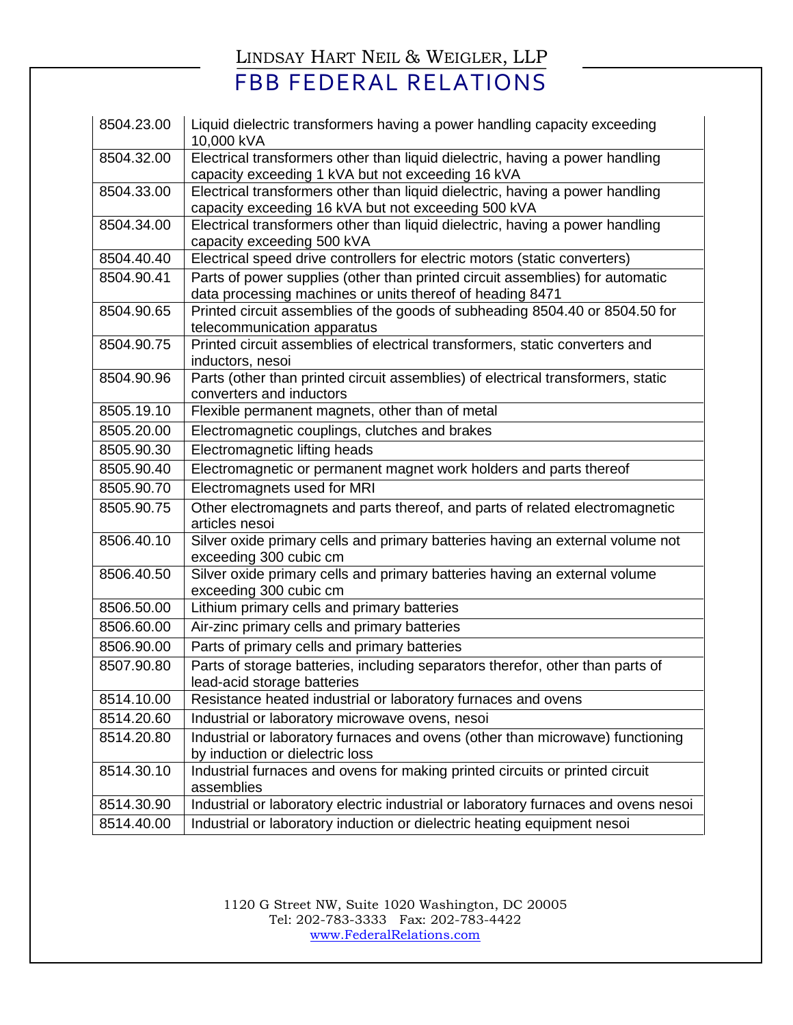#### LINDSAY HART NEIL & WEIGLER, LLP

FBB FEDERAL RELATIONS

| 8504.23.00 | Liquid dielectric transformers having a power handling capacity exceeding<br>10,000 kVA                                                    |
|------------|--------------------------------------------------------------------------------------------------------------------------------------------|
| 8504.32.00 | Electrical transformers other than liquid dielectric, having a power handling<br>capacity exceeding 1 kVA but not exceeding 16 kVA         |
| 8504.33.00 | Electrical transformers other than liquid dielectric, having a power handling<br>capacity exceeding 16 kVA but not exceeding 500 kVA       |
| 8504.34.00 | Electrical transformers other than liquid dielectric, having a power handling<br>capacity exceeding 500 kVA                                |
| 8504.40.40 | Electrical speed drive controllers for electric motors (static converters)                                                                 |
| 8504.90.41 | Parts of power supplies (other than printed circuit assemblies) for automatic<br>data processing machines or units thereof of heading 8471 |
| 8504.90.65 | Printed circuit assemblies of the goods of subheading 8504.40 or 8504.50 for<br>telecommunication apparatus                                |
| 8504.90.75 | Printed circuit assemblies of electrical transformers, static converters and<br>inductors, nesoi                                           |
| 8504.90.96 | Parts (other than printed circuit assemblies) of electrical transformers, static<br>converters and inductors                               |
| 8505.19.10 | Flexible permanent magnets, other than of metal                                                                                            |
| 8505.20.00 | Electromagnetic couplings, clutches and brakes                                                                                             |
| 8505.90.30 | Electromagnetic lifting heads                                                                                                              |
| 8505.90.40 | Electromagnetic or permanent magnet work holders and parts thereof                                                                         |
| 8505.90.70 | Electromagnets used for MRI                                                                                                                |
| 8505.90.75 | Other electromagnets and parts thereof, and parts of related electromagnetic<br>articles nesoi                                             |
| 8506.40.10 | Silver oxide primary cells and primary batteries having an external volume not<br>exceeding 300 cubic cm                                   |
| 8506.40.50 | Silver oxide primary cells and primary batteries having an external volume<br>exceeding 300 cubic cm                                       |
| 8506.50.00 | Lithium primary cells and primary batteries                                                                                                |
| 8506.60.00 | Air-zinc primary cells and primary batteries                                                                                               |
| 8506.90.00 | Parts of primary cells and primary batteries                                                                                               |
| 8507.90.80 | Parts of storage batteries, including separators therefor, other than parts of<br>lead-acid storage batteries                              |
| 8514.10.00 | Resistance heated industrial or laboratory furnaces and ovens                                                                              |
| 8514.20.60 | Industrial or laboratory microwave ovens, nesoi                                                                                            |
| 8514.20.80 | Industrial or laboratory furnaces and ovens (other than microwave) functioning<br>by induction or dielectric loss                          |
| 8514.30.10 | Industrial furnaces and ovens for making printed circuits or printed circuit<br>assemblies                                                 |
| 8514.30.90 | Industrial or laboratory electric industrial or laboratory furnaces and ovens nesoi                                                        |
| 8514.40.00 | Industrial or laboratory induction or dielectric heating equipment nesoi                                                                   |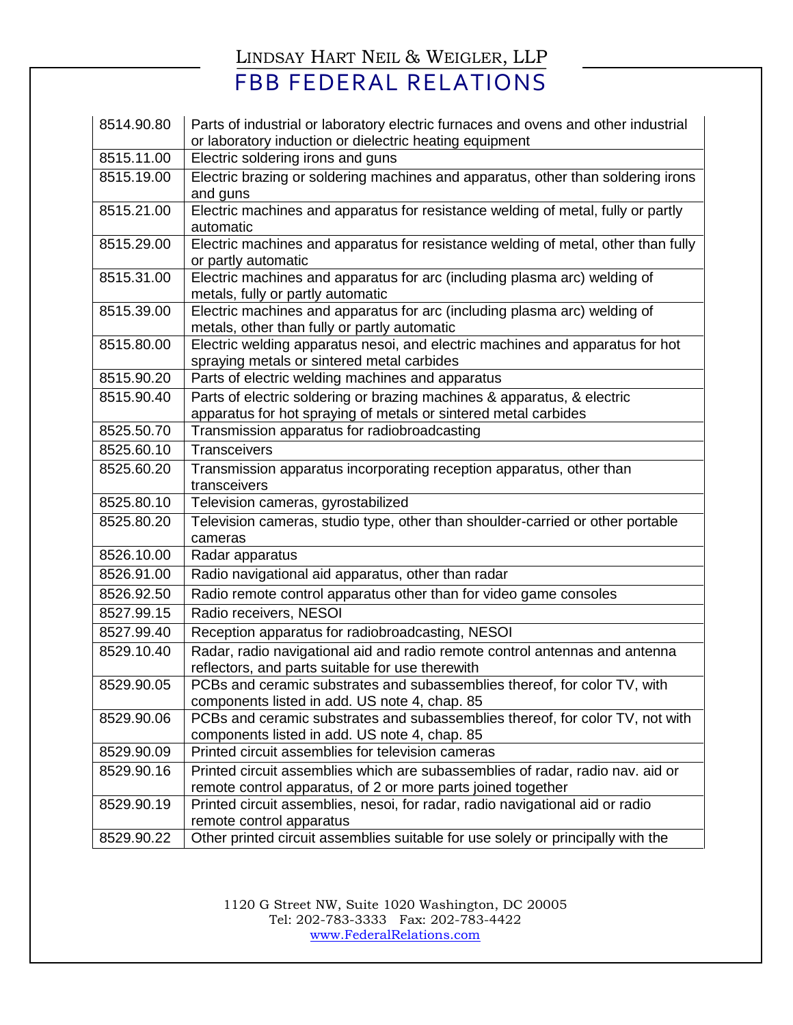| 8514.90.80 | Parts of industrial or laboratory electric furnaces and ovens and other industrial<br>or laboratory induction or dielectric heating equipment  |
|------------|------------------------------------------------------------------------------------------------------------------------------------------------|
| 8515.11.00 | Electric soldering irons and guns                                                                                                              |
| 8515.19.00 | Electric brazing or soldering machines and apparatus, other than soldering irons<br>and guns                                                   |
| 8515.21.00 | Electric machines and apparatus for resistance welding of metal, fully or partly<br>automatic                                                  |
| 8515.29.00 | Electric machines and apparatus for resistance welding of metal, other than fully<br>or partly automatic                                       |
| 8515.31.00 | Electric machines and apparatus for arc (including plasma arc) welding of<br>metals, fully or partly automatic                                 |
| 8515.39.00 | Electric machines and apparatus for arc (including plasma arc) welding of<br>metals, other than fully or partly automatic                      |
| 8515.80.00 | Electric welding apparatus nesoi, and electric machines and apparatus for hot<br>spraying metals or sintered metal carbides                    |
| 8515.90.20 | Parts of electric welding machines and apparatus                                                                                               |
| 8515.90.40 | Parts of electric soldering or brazing machines & apparatus, & electric<br>apparatus for hot spraying of metals or sintered metal carbides     |
| 8525.50.70 | Transmission apparatus for radiobroadcasting                                                                                                   |
| 8525.60.10 | Transceivers                                                                                                                                   |
| 8525.60.20 | Transmission apparatus incorporating reception apparatus, other than<br>transceivers                                                           |
| 8525.80.10 | Television cameras, gyrostabilized                                                                                                             |
| 8525.80.20 | Television cameras, studio type, other than shoulder-carried or other portable<br>cameras                                                      |
| 8526.10.00 | Radar apparatus                                                                                                                                |
| 8526.91.00 | Radio navigational aid apparatus, other than radar                                                                                             |
| 8526.92.50 | Radio remote control apparatus other than for video game consoles                                                                              |
| 8527.99.15 | Radio receivers, NESOI                                                                                                                         |
| 8527.99.40 | Reception apparatus for radiobroadcasting, NESOI                                                                                               |
| 8529.10.40 | Radar, radio navigational aid and radio remote control antennas and antenna<br>reflectors, and parts suitable for use therewith                |
| 8529.90.05 | PCBs and ceramic substrates and subassemblies thereof, for color TV, with<br>components listed in add. US note 4, chap. 85                     |
| 8529.90.06 | PCBs and ceramic substrates and subassemblies thereof, for color TV, not with<br>components listed in add. US note 4, chap. 85                 |
| 8529.90.09 | Printed circuit assemblies for television cameras                                                                                              |
| 8529.90.16 | Printed circuit assemblies which are subassemblies of radar, radio nav. aid or<br>remote control apparatus, of 2 or more parts joined together |
| 8529.90.19 | Printed circuit assemblies, nesoi, for radar, radio navigational aid or radio<br>remote control apparatus                                      |
| 8529.90.22 | Other printed circuit assemblies suitable for use solely or principally with the                                                               |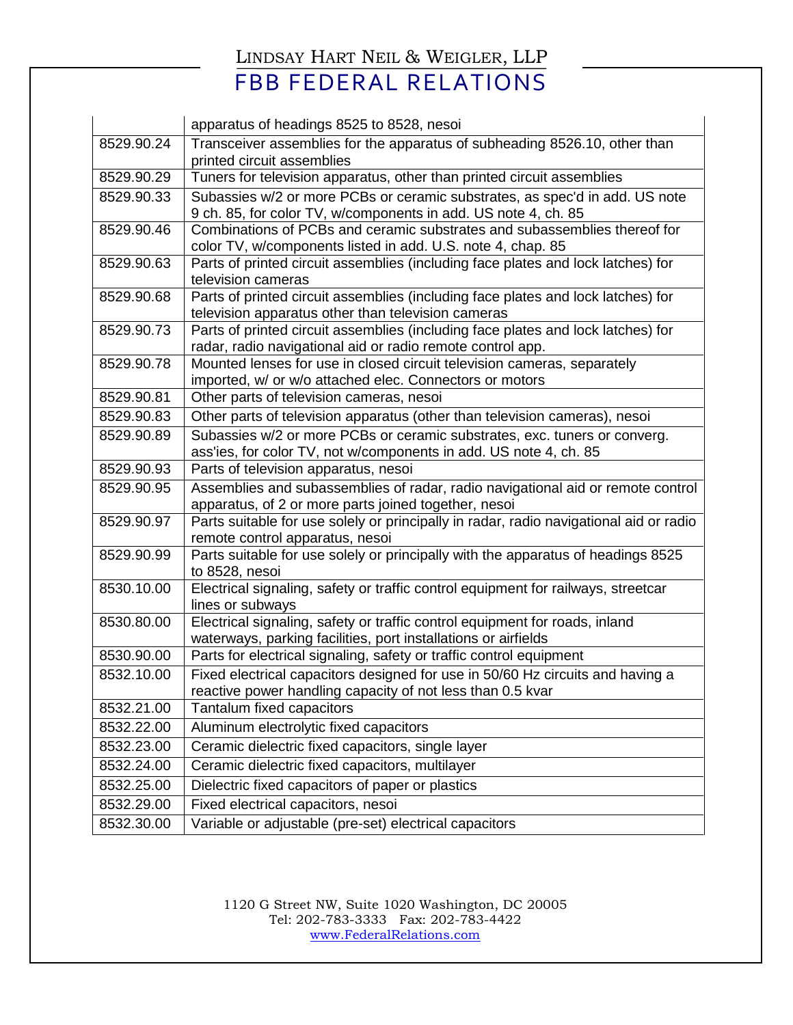|            | apparatus of headings 8525 to 8528, nesoi                                                                                                    |
|------------|----------------------------------------------------------------------------------------------------------------------------------------------|
| 8529.90.24 | Transceiver assemblies for the apparatus of subheading 8526.10, other than                                                                   |
|            | printed circuit assemblies                                                                                                                   |
| 8529.90.29 | Tuners for television apparatus, other than printed circuit assemblies                                                                       |
| 8529.90.33 | Subassies w/2 or more PCBs or ceramic substrates, as spec'd in add. US note                                                                  |
|            | 9 ch. 85, for color TV, w/components in add. US note 4, ch. 85                                                                               |
| 8529.90.46 | Combinations of PCBs and ceramic substrates and subassemblies thereof for                                                                    |
|            | color TV, w/components listed in add. U.S. note 4, chap. 85                                                                                  |
| 8529.90.63 | Parts of printed circuit assemblies (including face plates and lock latches) for<br>television cameras                                       |
| 8529.90.68 | Parts of printed circuit assemblies (including face plates and lock latches) for                                                             |
|            | television apparatus other than television cameras                                                                                           |
| 8529.90.73 | Parts of printed circuit assemblies (including face plates and lock latches) for                                                             |
|            | radar, radio navigational aid or radio remote control app.                                                                                   |
| 8529.90.78 | Mounted lenses for use in closed circuit television cameras, separately                                                                      |
|            | imported, w/ or w/o attached elec. Connectors or motors                                                                                      |
| 8529.90.81 | Other parts of television cameras, nesoi                                                                                                     |
| 8529.90.83 | Other parts of television apparatus (other than television cameras), nesoi                                                                   |
| 8529.90.89 | Subassies w/2 or more PCBs or ceramic substrates, exc. tuners or converg.                                                                    |
|            | ass'ies, for color TV, not w/components in add. US note 4, ch. 85                                                                            |
| 8529.90.93 | Parts of television apparatus, nesoi                                                                                                         |
| 8529.90.95 | Assemblies and subassemblies of radar, radio navigational aid or remote control                                                              |
|            | apparatus, of 2 or more parts joined together, nesoi                                                                                         |
| 8529.90.97 | Parts suitable for use solely or principally in radar, radio navigational aid or radio<br>remote control apparatus, nesoi                    |
| 8529.90.99 | Parts suitable for use solely or principally with the apparatus of headings 8525                                                             |
|            | to 8528, nesoi                                                                                                                               |
| 8530.10.00 | Electrical signaling, safety or traffic control equipment for railways, streetcar                                                            |
|            | lines or subways                                                                                                                             |
| 8530.80.00 | Electrical signaling, safety or traffic control equipment for roads, inland                                                                  |
|            | waterways, parking facilities, port installations or airfields                                                                               |
| 8530.90.00 | Parts for electrical signaling, safety or traffic control equipment                                                                          |
| 8532.10.00 | Fixed electrical capacitors designed for use in 50/60 Hz circuits and having a<br>reactive power handling capacity of not less than 0.5 kvar |
| 8532.21.00 | Tantalum fixed capacitors                                                                                                                    |
| 8532.22.00 | Aluminum electrolytic fixed capacitors                                                                                                       |
| 8532.23.00 | Ceramic dielectric fixed capacitors, single layer                                                                                            |
|            |                                                                                                                                              |
| 8532.24.00 | Ceramic dielectric fixed capacitors, multilayer                                                                                              |
| 8532.25.00 | Dielectric fixed capacitors of paper or plastics                                                                                             |
| 8532.29.00 | Fixed electrical capacitors, nesoi                                                                                                           |
| 8532.30.00 | Variable or adjustable (pre-set) electrical capacitors                                                                                       |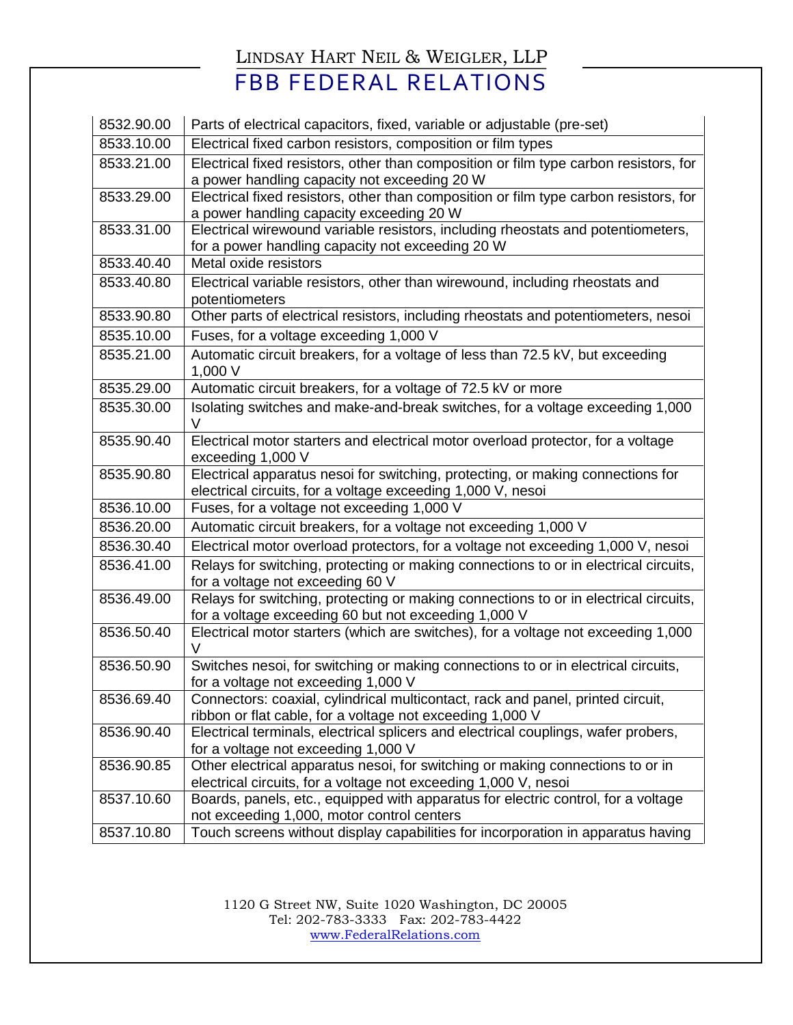| 8532.90.00 | Parts of electrical capacitors, fixed, variable or adjustable (pre-set)                                                                      |
|------------|----------------------------------------------------------------------------------------------------------------------------------------------|
| 8533.10.00 | Electrical fixed carbon resistors, composition or film types                                                                                 |
| 8533.21.00 | Electrical fixed resistors, other than composition or film type carbon resistors, for                                                        |
|            | a power handling capacity not exceeding 20 W                                                                                                 |
| 8533.29.00 | Electrical fixed resistors, other than composition or film type carbon resistors, for                                                        |
|            | a power handling capacity exceeding 20 W                                                                                                     |
| 8533.31.00 | Electrical wirewound variable resistors, including rheostats and potentiometers,<br>for a power handling capacity not exceeding 20 W         |
| 8533.40.40 | Metal oxide resistors                                                                                                                        |
| 8533.40.80 | Electrical variable resistors, other than wirewound, including rheostats and                                                                 |
|            | potentiometers                                                                                                                               |
| 8533.90.80 | Other parts of electrical resistors, including rheostats and potentiometers, nesoi                                                           |
| 8535.10.00 | Fuses, for a voltage exceeding 1,000 V                                                                                                       |
| 8535.21.00 | Automatic circuit breakers, for a voltage of less than 72.5 kV, but exceeding<br>1,000 V                                                     |
| 8535.29.00 | Automatic circuit breakers, for a voltage of 72.5 kV or more                                                                                 |
| 8535.30.00 | Isolating switches and make-and-break switches, for a voltage exceeding 1,000<br>V                                                           |
| 8535.90.40 | Electrical motor starters and electrical motor overload protector, for a voltage<br>exceeding 1,000 V                                        |
| 8535.90.80 | Electrical apparatus nesoi for switching, protecting, or making connections for                                                              |
|            | electrical circuits, for a voltage exceeding 1,000 V, nesoi                                                                                  |
| 8536.10.00 | Fuses, for a voltage not exceeding 1,000 V                                                                                                   |
| 8536.20.00 | Automatic circuit breakers, for a voltage not exceeding 1,000 V                                                                              |
| 8536.30.40 | Electrical motor overload protectors, for a voltage not exceeding 1,000 V, nesoi                                                             |
| 8536.41.00 | Relays for switching, protecting or making connections to or in electrical circuits,<br>for a voltage not exceeding 60 V                     |
| 8536.49.00 | Relays for switching, protecting or making connections to or in electrical circuits,<br>for a voltage exceeding 60 but not exceeding 1,000 V |
| 8536.50.40 | Electrical motor starters (which are switches), for a voltage not exceeding 1,000                                                            |
|            | V                                                                                                                                            |
| 8536.50.90 | Switches nesoi, for switching or making connections to or in electrical circuits,                                                            |
|            | for a voltage not exceeding 1,000 V                                                                                                          |
| 8536.69.40 | Connectors: coaxial, cylindrical multicontact, rack and panel, printed circuit,                                                              |
|            | ribbon or flat cable, for a voltage not exceeding 1,000 V                                                                                    |
| 8536.90.40 | Electrical terminals, electrical splicers and electrical couplings, wafer probers,<br>for a voltage not exceeding 1,000 V                    |
| 8536.90.85 | Other electrical apparatus nesoi, for switching or making connections to or in                                                               |
|            | electrical circuits, for a voltage not exceeding 1,000 V, nesoi                                                                              |
| 8537.10.60 | Boards, panels, etc., equipped with apparatus for electric control, for a voltage                                                            |
|            | not exceeding 1,000, motor control centers                                                                                                   |
| 8537.10.80 | Touch screens without display capabilities for incorporation in apparatus having                                                             |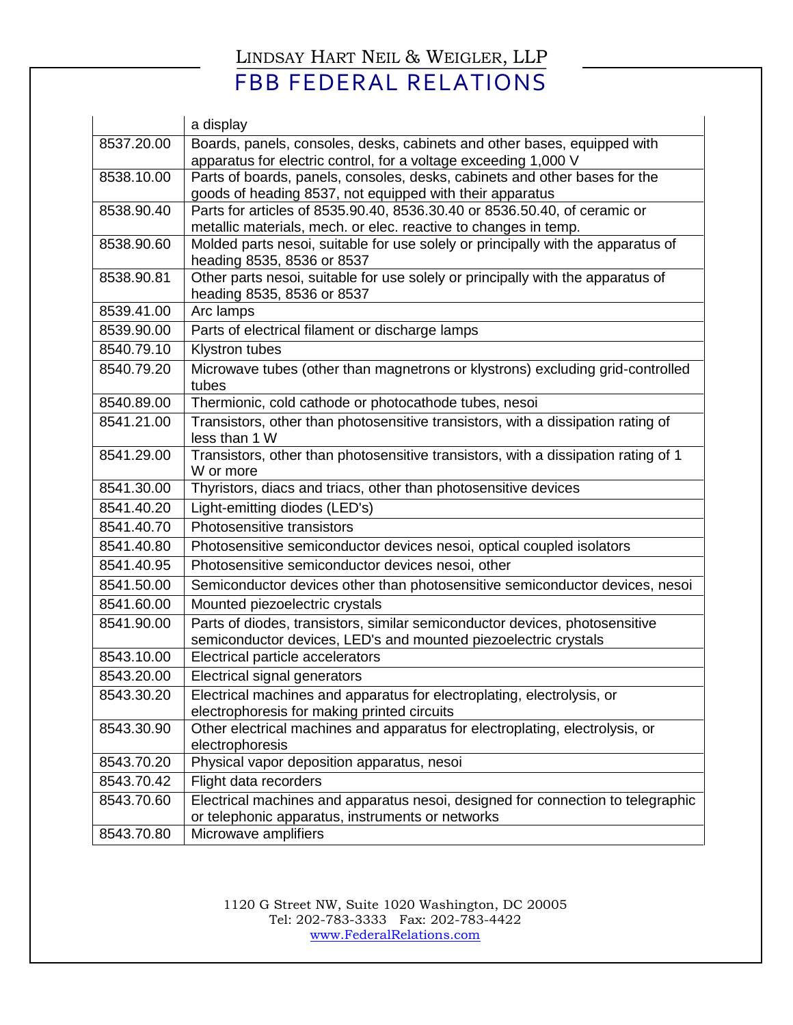|            | a display                                                                                                             |
|------------|-----------------------------------------------------------------------------------------------------------------------|
| 8537.20.00 | Boards, panels, consoles, desks, cabinets and other bases, equipped with                                              |
|            | apparatus for electric control, for a voltage exceeding 1,000 V                                                       |
| 8538.10.00 | Parts of boards, panels, consoles, desks, cabinets and other bases for the                                            |
|            | goods of heading 8537, not equipped with their apparatus                                                              |
| 8538.90.40 | Parts for articles of 8535.90.40, 8536.30.40 or 8536.50.40, of ceramic or                                             |
|            | metallic materials, mech. or elec. reactive to changes in temp.                                                       |
| 8538.90.60 | Molded parts nesoi, suitable for use solely or principally with the apparatus of<br>heading 8535, 8536 or 8537        |
| 8538.90.81 | Other parts nesoi, suitable for use solely or principally with the apparatus of                                       |
|            | heading 8535, 8536 or 8537                                                                                            |
| 8539.41.00 | Arc lamps                                                                                                             |
| 8539.90.00 | Parts of electrical filament or discharge lamps                                                                       |
| 8540.79.10 | Klystron tubes                                                                                                        |
| 8540.79.20 | Microwave tubes (other than magnetrons or klystrons) excluding grid-controlled<br>tubes                               |
| 8540.89.00 | Thermionic, cold cathode or photocathode tubes, nesoi                                                                 |
| 8541.21.00 | Transistors, other than photosensitive transistors, with a dissipation rating of                                      |
|            | less than 1 W                                                                                                         |
| 8541.29.00 | Transistors, other than photosensitive transistors, with a dissipation rating of 1<br>W or more                       |
| 8541.30.00 | Thyristors, diacs and triacs, other than photosensitive devices                                                       |
| 8541.40.20 | Light-emitting diodes (LED's)                                                                                         |
| 8541.40.70 | Photosensitive transistors                                                                                            |
|            |                                                                                                                       |
| 8541.40.80 | Photosensitive semiconductor devices nesoi, optical coupled isolators                                                 |
| 8541.40.95 | Photosensitive semiconductor devices nesoi, other                                                                     |
| 8541.50.00 | Semiconductor devices other than photosensitive semiconductor devices, nesoi                                          |
| 8541.60.00 | Mounted piezoelectric crystals                                                                                        |
| 8541.90.00 | Parts of diodes, transistors, similar semiconductor devices, photosensitive                                           |
| 8543.10.00 | semiconductor devices, LED's and mounted piezoelectric crystals                                                       |
|            | Electrical particle accelerators                                                                                      |
| 8543.20.00 | Electrical signal generators                                                                                          |
| 8543.30.20 | Electrical machines and apparatus for electroplating, electrolysis, or<br>electrophoresis for making printed circuits |
| 8543.30.90 | Other electrical machines and apparatus for electroplating, electrolysis, or                                          |
|            | electrophoresis                                                                                                       |
| 8543.70.20 | Physical vapor deposition apparatus, nesoi                                                                            |
| 8543.70.42 | Flight data recorders                                                                                                 |
| 8543.70.60 | Electrical machines and apparatus nesoi, designed for connection to telegraphic                                       |
|            | or telephonic apparatus, instruments or networks                                                                      |
| 8543.70.80 | Microwave amplifiers                                                                                                  |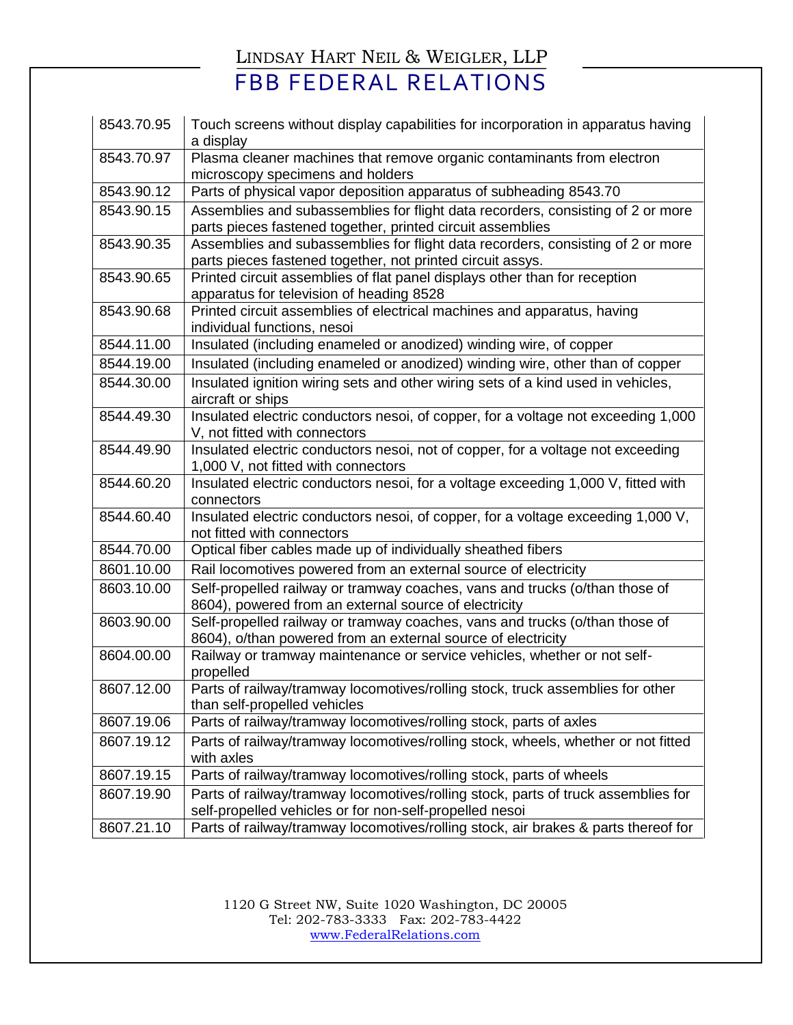| 8543.70.95 | Touch screens without display capabilities for incorporation in apparatus having<br>a display                                                 |
|------------|-----------------------------------------------------------------------------------------------------------------------------------------------|
| 8543.70.97 | Plasma cleaner machines that remove organic contaminants from electron<br>microscopy specimens and holders                                    |
| 8543.90.12 | Parts of physical vapor deposition apparatus of subheading 8543.70                                                                            |
| 8543.90.15 | Assemblies and subassemblies for flight data recorders, consisting of 2 or more<br>parts pieces fastened together, printed circuit assemblies |
| 8543.90.35 | Assemblies and subassemblies for flight data recorders, consisting of 2 or more<br>parts pieces fastened together, not printed circuit assys. |
| 8543.90.65 | Printed circuit assemblies of flat panel displays other than for reception<br>apparatus for television of heading 8528                        |
| 8543.90.68 | Printed circuit assemblies of electrical machines and apparatus, having<br>individual functions, nesoi                                        |
| 8544.11.00 | Insulated (including enameled or anodized) winding wire, of copper                                                                            |
| 8544.19.00 | Insulated (including enameled or anodized) winding wire, other than of copper                                                                 |
| 8544.30.00 | Insulated ignition wiring sets and other wiring sets of a kind used in vehicles,<br>aircraft or ships                                         |
| 8544.49.30 | Insulated electric conductors nesoi, of copper, for a voltage not exceeding 1,000<br>V, not fitted with connectors                            |
| 8544.49.90 | Insulated electric conductors nesoi, not of copper, for a voltage not exceeding<br>1,000 V, not fitted with connectors                        |
| 8544.60.20 | Insulated electric conductors nesoi, for a voltage exceeding 1,000 V, fitted with<br>connectors                                               |
| 8544.60.40 | Insulated electric conductors nesoi, of copper, for a voltage exceeding 1,000 V,<br>not fitted with connectors                                |
| 8544.70.00 | Optical fiber cables made up of individually sheathed fibers                                                                                  |
| 8601.10.00 | Rail locomotives powered from an external source of electricity                                                                               |
| 8603.10.00 | Self-propelled railway or tramway coaches, vans and trucks (o/than those of<br>8604), powered from an external source of electricity          |
| 8603.90.00 | Self-propelled railway or tramway coaches, vans and trucks (o/than those of<br>8604), o/than powered from an external source of electricity   |
| 8604.00.00 | Railway or tramway maintenance or service vehicles, whether or not self-<br>propelled                                                         |
| 8607.12.00 | Parts of railway/tramway locomotives/rolling stock, truck assemblies for other<br>than self-propelled vehicles                                |
| 8607.19.06 | Parts of railway/tramway locomotives/rolling stock, parts of axles                                                                            |
| 8607.19.12 | Parts of railway/tramway locomotives/rolling stock, wheels, whether or not fitted<br>with axles                                               |
| 8607.19.15 | Parts of railway/tramway locomotives/rolling stock, parts of wheels                                                                           |
| 8607.19.90 | Parts of railway/tramway locomotives/rolling stock, parts of truck assemblies for<br>self-propelled vehicles or for non-self-propelled nesoi  |
| 8607.21.10 | Parts of railway/tramway locomotives/rolling stock, air brakes & parts thereof for                                                            |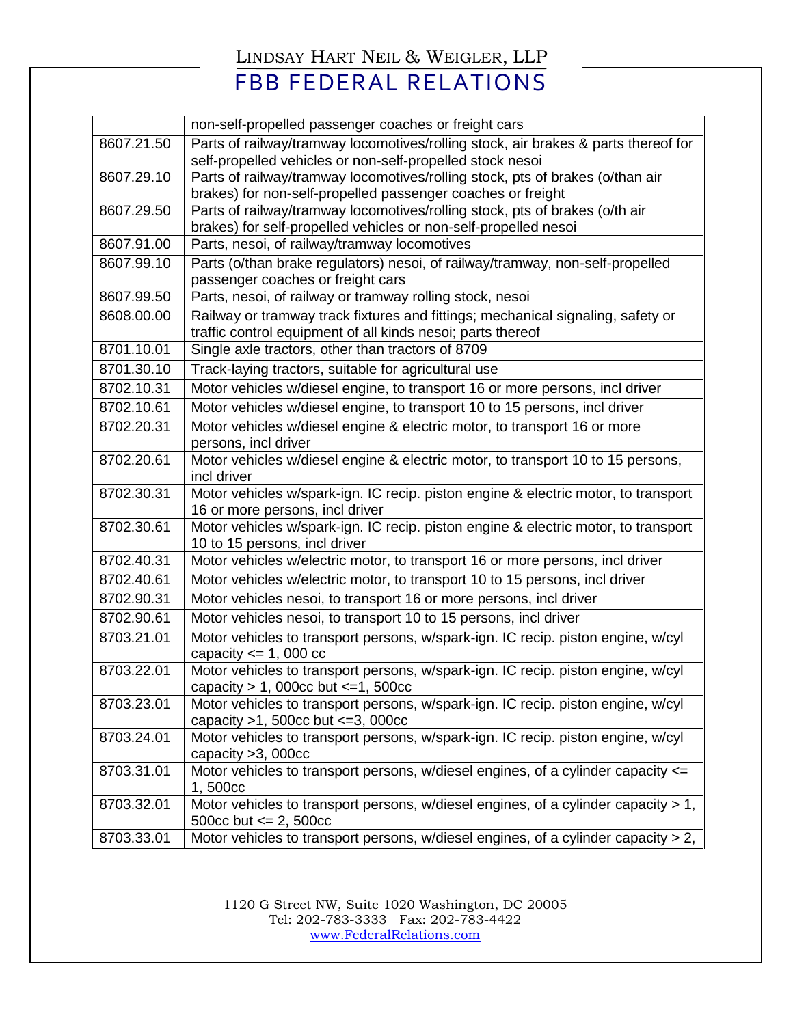|            | non-self-propelled passenger coaches or freight cars                                                         |
|------------|--------------------------------------------------------------------------------------------------------------|
| 8607.21.50 | Parts of railway/tramway locomotives/rolling stock, air brakes & parts thereof for                           |
|            | self-propelled vehicles or non-self-propelled stock nesoi                                                    |
| 8607.29.10 | Parts of railway/tramway locomotives/rolling stock, pts of brakes (o/than air                                |
|            | brakes) for non-self-propelled passenger coaches or freight                                                  |
| 8607.29.50 | Parts of railway/tramway locomotives/rolling stock, pts of brakes (o/th air                                  |
|            | brakes) for self-propelled vehicles or non-self-propelled nesoi                                              |
| 8607.91.00 | Parts, nesoi, of railway/tramway locomotives                                                                 |
| 8607.99.10 | Parts (o/than brake regulators) nesoi, of railway/tramway, non-self-propelled                                |
|            | passenger coaches or freight cars                                                                            |
| 8607.99.50 | Parts, nesoi, of railway or tramway rolling stock, nesoi                                                     |
| 8608.00.00 | Railway or tramway track fixtures and fittings; mechanical signaling, safety or                              |
|            | traffic control equipment of all kinds nesoi; parts thereof                                                  |
| 8701.10.01 | Single axle tractors, other than tractors of 8709                                                            |
| 8701.30.10 | Track-laying tractors, suitable for agricultural use                                                         |
| 8702.10.31 | Motor vehicles w/diesel engine, to transport 16 or more persons, incl driver                                 |
| 8702.10.61 | Motor vehicles w/diesel engine, to transport 10 to 15 persons, incl driver                                   |
| 8702.20.31 | Motor vehicles w/diesel engine & electric motor, to transport 16 or more                                     |
|            | persons, incl driver                                                                                         |
| 8702.20.61 | Motor vehicles w/diesel engine & electric motor, to transport 10 to 15 persons,                              |
|            | incl driver                                                                                                  |
| 8702.30.31 | Motor vehicles w/spark-ign. IC recip. piston engine & electric motor, to transport                           |
|            | 16 or more persons, incl driver                                                                              |
| 8702.30.61 | Motor vehicles w/spark-ign. IC recip. piston engine & electric motor, to transport                           |
|            | 10 to 15 persons, incl driver                                                                                |
| 8702.40.31 | Motor vehicles w/electric motor, to transport 16 or more persons, incl driver                                |
| 8702.40.61 | Motor vehicles w/electric motor, to transport 10 to 15 persons, incl driver                                  |
| 8702.90.31 | Motor vehicles nesoi, to transport 16 or more persons, incl driver                                           |
| 8702.90.61 | Motor vehicles nesoi, to transport 10 to 15 persons, incl driver                                             |
| 8703.21.01 | Motor vehicles to transport persons, w/spark-ign. IC recip. piston engine, w/cyl                             |
|            | capacity $\leq$ 1, 000 cc                                                                                    |
| 8703.22.01 | Motor vehicles to transport persons, w/spark-ign. IC recip. piston engine, w/cyl                             |
|            | capacity $> 1$ , 000cc but $\lt=1$ , 500cc                                                                   |
| 8703.23.01 | Motor vehicles to transport persons, w/spark-ign. IC recip. piston engine, w/cyl                             |
|            | capacity $>1$ , 500cc but $<=3$ , 000cc                                                                      |
| 8703.24.01 | Motor vehicles to transport persons, w/spark-ign. IC recip. piston engine, w/cyl<br>capacity $>3$ , 000 $cc$ |
| 8703.31.01 | Motor vehicles to transport persons, w/diesel engines, of a cylinder capacity <=                             |
|            | 1,500cc                                                                                                      |
| 8703.32.01 | Motor vehicles to transport persons, w/diesel engines, of a cylinder capacity > 1,                           |
|            | 500cc but $\leq$ 2, 500cc                                                                                    |
| 8703.33.01 | Motor vehicles to transport persons, w/diesel engines, of a cylinder capacity $> 2$ ,                        |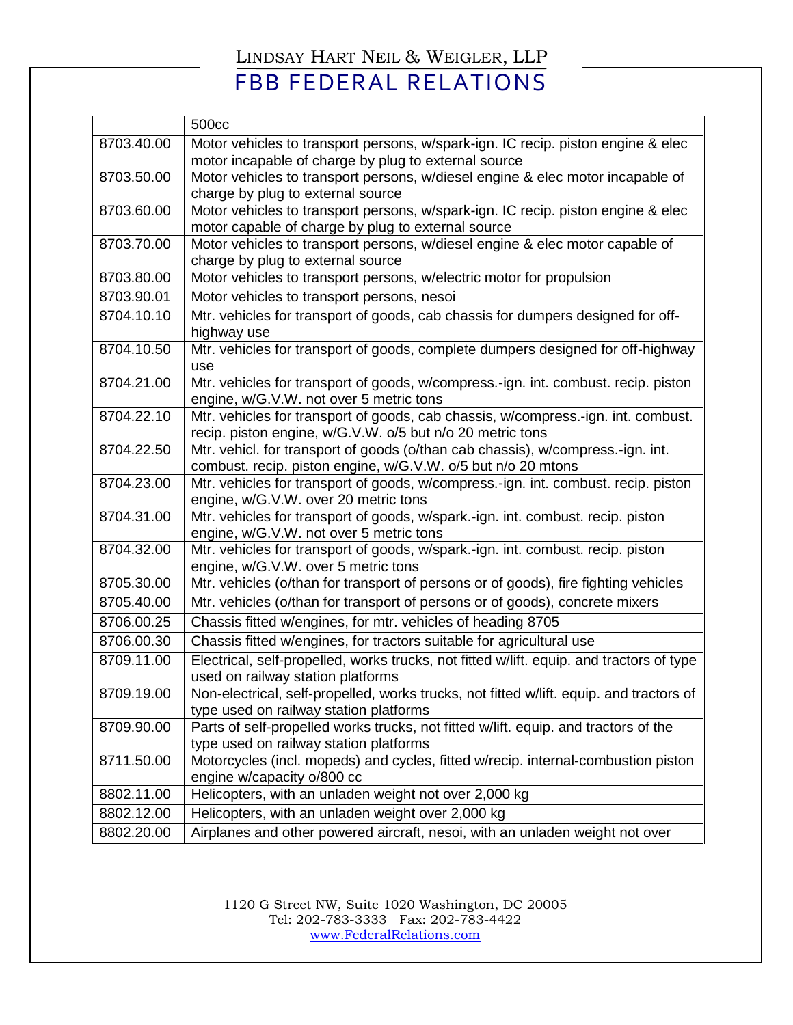|            | 500cc                                                                                                                         |
|------------|-------------------------------------------------------------------------------------------------------------------------------|
| 8703.40.00 | Motor vehicles to transport persons, w/spark-ign. IC recip. piston engine & elec                                              |
|            | motor incapable of charge by plug to external source                                                                          |
| 8703.50.00 | Motor vehicles to transport persons, w/diesel engine & elec motor incapable of                                                |
|            | charge by plug to external source                                                                                             |
| 8703.60.00 | Motor vehicles to transport persons, w/spark-ign. IC recip. piston engine & elec                                              |
|            | motor capable of charge by plug to external source                                                                            |
| 8703.70.00 | Motor vehicles to transport persons, w/diesel engine & elec motor capable of<br>charge by plug to external source             |
| 8703.80.00 | Motor vehicles to transport persons, w/electric motor for propulsion                                                          |
| 8703.90.01 | Motor vehicles to transport persons, nesoi                                                                                    |
| 8704.10.10 | Mtr. vehicles for transport of goods, cab chassis for dumpers designed for off-                                               |
|            | highway use                                                                                                                   |
| 8704.10.50 | Mtr. vehicles for transport of goods, complete dumpers designed for off-highway<br>use                                        |
| 8704.21.00 | Mtr. vehicles for transport of goods, w/compress.-ign. int. combust. recip. piston                                            |
|            | engine, w/G.V.W. not over 5 metric tons                                                                                       |
| 8704.22.10 | Mtr. vehicles for transport of goods, cab chassis, w/compress.-ign. int. combust.                                             |
|            | recip. piston engine, w/G.V.W. o/5 but n/o 20 metric tons                                                                     |
| 8704.22.50 | Mtr. vehicl. for transport of goods (o/than cab chassis), w/compress.-ign. int.                                               |
|            | combust. recip. piston engine, w/G.V.W. o/5 but n/o 20 mtons                                                                  |
| 8704.23.00 | Mtr. vehicles for transport of goods, w/compress.-ign. int. combust. recip. piston<br>engine, w/G.V.W. over 20 metric tons    |
| 8704.31.00 | Mtr. vehicles for transport of goods, w/spark.-ign. int. combust. recip. piston                                               |
|            | engine, w/G.V.W. not over 5 metric tons                                                                                       |
| 8704.32.00 | Mtr. vehicles for transport of goods, w/spark.-ign. int. combust. recip. piston                                               |
|            | engine, w/G.V.W. over 5 metric tons                                                                                           |
| 8705.30.00 | Mtr. vehicles (o/than for transport of persons or of goods), fire fighting vehicles                                           |
| 8705.40.00 | Mtr. vehicles (o/than for transport of persons or of goods), concrete mixers                                                  |
| 8706.00.25 | Chassis fitted w/engines, for mtr. vehicles of heading 8705                                                                   |
| 8706.00.30 | Chassis fitted w/engines, for tractors suitable for agricultural use                                                          |
| 8709.11.00 | Electrical, self-propelled, works trucks, not fitted w/lift. equip. and tractors of type                                      |
|            | used on railway station platforms                                                                                             |
| 8709.19.00 | Non-electrical, self-propelled, works trucks, not fitted w/lift. equip. and tractors of                                       |
|            | type used on railway station platforms                                                                                        |
| 8709.90.00 | Parts of self-propelled works trucks, not fitted w/lift. equip. and tractors of the<br>type used on railway station platforms |
| 8711.50.00 | Motorcycles (incl. mopeds) and cycles, fitted w/recip. internal-combustion piston                                             |
|            | engine w/capacity o/800 cc                                                                                                    |
| 8802.11.00 | Helicopters, with an unladen weight not over 2,000 kg                                                                         |
| 8802.12.00 | Helicopters, with an unladen weight over 2,000 kg                                                                             |
| 8802.20.00 | Airplanes and other powered aircraft, nesoi, with an unladen weight not over                                                  |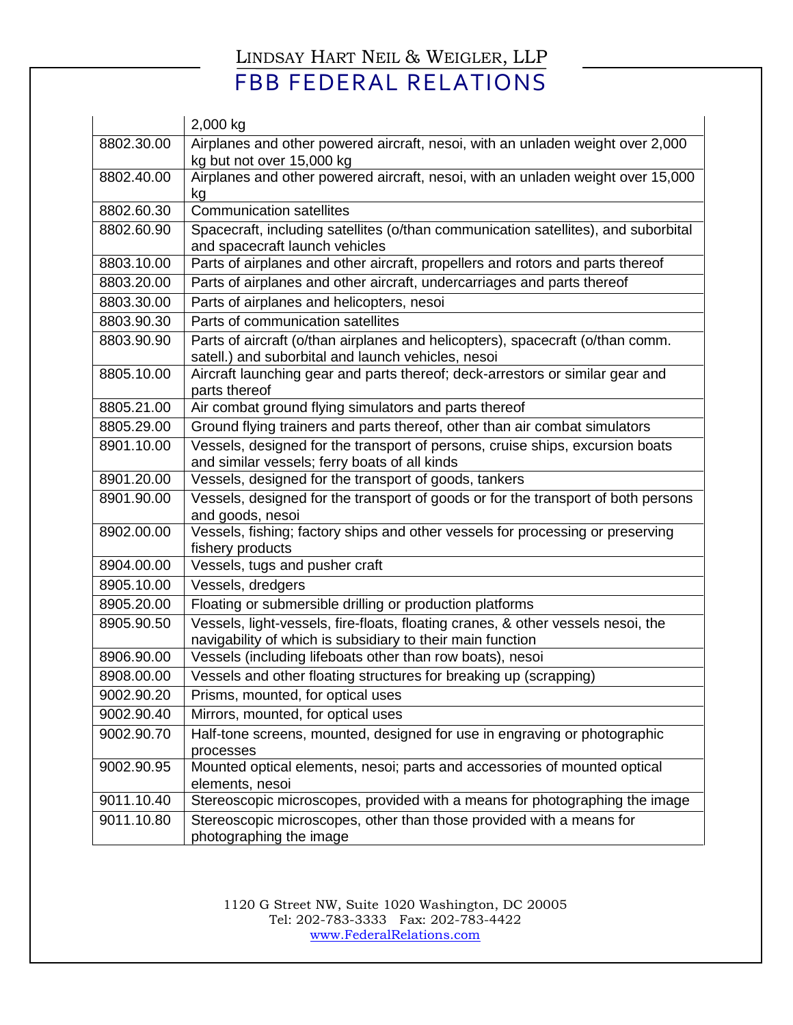|            | 2,000 kg                                                                                                                                       |
|------------|------------------------------------------------------------------------------------------------------------------------------------------------|
| 8802.30.00 | Airplanes and other powered aircraft, nesoi, with an unladen weight over 2,000                                                                 |
|            | kg but not over 15,000 kg                                                                                                                      |
| 8802.40.00 | Airplanes and other powered aircraft, nesoi, with an unladen weight over 15,000<br>kg                                                          |
| 8802.60.30 | <b>Communication satellites</b>                                                                                                                |
| 8802.60.90 | Spacecraft, including satellites (o/than communication satellites), and suborbital<br>and spacecraft launch vehicles                           |
| 8803.10.00 | Parts of airplanes and other aircraft, propellers and rotors and parts thereof                                                                 |
| 8803.20.00 | Parts of airplanes and other aircraft, undercarriages and parts thereof                                                                        |
| 8803.30.00 | Parts of airplanes and helicopters, nesoi                                                                                                      |
| 8803.90.30 | Parts of communication satellites                                                                                                              |
| 8803.90.90 | Parts of aircraft (o/than airplanes and helicopters), spacecraft (o/than comm.<br>satell.) and suborbital and launch vehicles, nesoi           |
| 8805.10.00 | Aircraft launching gear and parts thereof; deck-arrestors or similar gear and<br>parts thereof                                                 |
| 8805.21.00 | Air combat ground flying simulators and parts thereof                                                                                          |
| 8805.29.00 | Ground flying trainers and parts thereof, other than air combat simulators                                                                     |
| 8901.10.00 | Vessels, designed for the transport of persons, cruise ships, excursion boats<br>and similar vessels; ferry boats of all kinds                 |
| 8901.20.00 | Vessels, designed for the transport of goods, tankers                                                                                          |
| 8901.90.00 | Vessels, designed for the transport of goods or for the transport of both persons<br>and goods, nesoi                                          |
| 8902.00.00 | Vessels, fishing; factory ships and other vessels for processing or preserving<br>fishery products                                             |
| 8904.00.00 | Vessels, tugs and pusher craft                                                                                                                 |
| 8905.10.00 | Vessels, dredgers                                                                                                                              |
| 8905.20.00 | Floating or submersible drilling or production platforms                                                                                       |
| 8905.90.50 | Vessels, light-vessels, fire-floats, floating cranes, & other vessels nesoi, the<br>navigability of which is subsidiary to their main function |
| 8906.90.00 | Vessels (including lifeboats other than row boats), nesoi                                                                                      |
| 8908.00.00 | Vessels and other floating structures for breaking up (scrapping)                                                                              |
| 9002.90.20 | Prisms, mounted, for optical uses                                                                                                              |
| 9002.90.40 | Mirrors, mounted, for optical uses                                                                                                             |
| 9002.90.70 | Half-tone screens, mounted, designed for use in engraving or photographic<br>processes                                                         |
| 9002.90.95 | Mounted optical elements, nesoi; parts and accessories of mounted optical<br>elements, nesoi                                                   |
| 9011.10.40 | Stereoscopic microscopes, provided with a means for photographing the image                                                                    |
| 9011.10.80 | Stereoscopic microscopes, other than those provided with a means for<br>photographing the image                                                |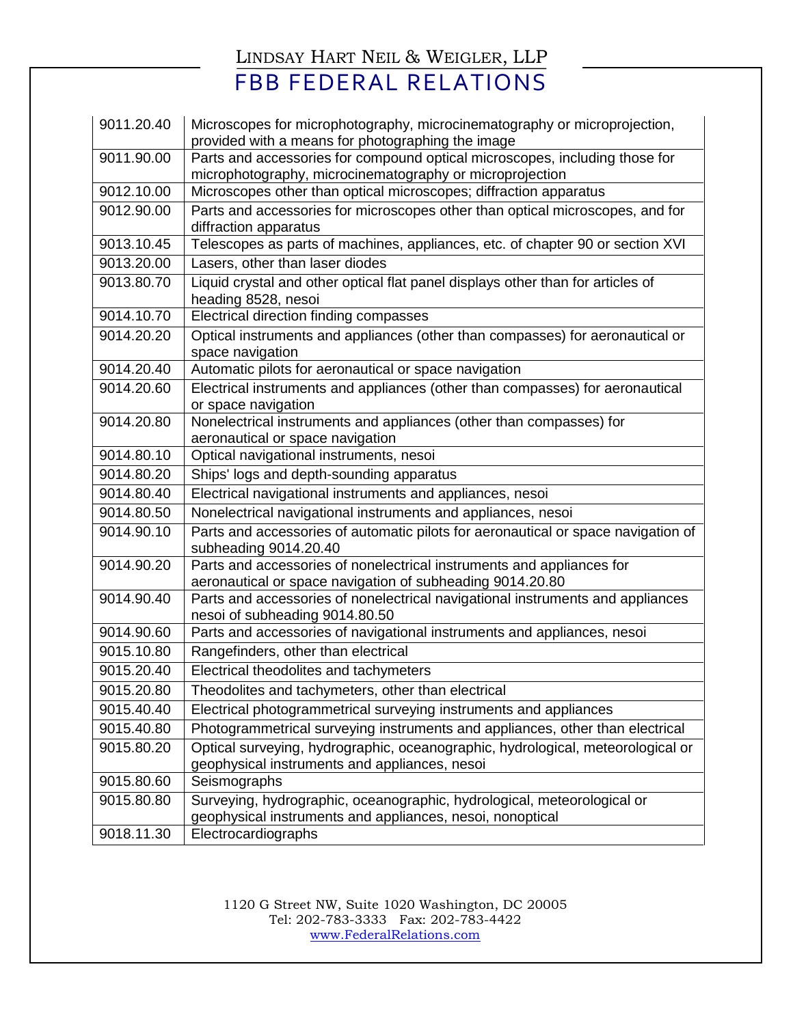#### LINDSAY HART NEIL & WEIGLER, LLP

FBB FEDERAL RELATIONS

| 9011.20.40 | Microscopes for microphotography, microcinematography or microprojection,<br>provided with a means for photographing the image          |
|------------|-----------------------------------------------------------------------------------------------------------------------------------------|
| 9011.90.00 | Parts and accessories for compound optical microscopes, including those for<br>microphotography, microcinematography or microprojection |
| 9012.10.00 | Microscopes other than optical microscopes; diffraction apparatus                                                                       |
| 9012.90.00 | Parts and accessories for microscopes other than optical microscopes, and for                                                           |
|            | diffraction apparatus                                                                                                                   |
| 9013.10.45 | Telescopes as parts of machines, appliances, etc. of chapter 90 or section XVI                                                          |
| 9013.20.00 | Lasers, other than laser diodes                                                                                                         |
| 9013.80.70 | Liquid crystal and other optical flat panel displays other than for articles of<br>heading 8528, nesoi                                  |
| 9014.10.70 | Electrical direction finding compasses                                                                                                  |
| 9014.20.20 | Optical instruments and appliances (other than compasses) for aeronautical or<br>space navigation                                       |
| 9014.20.40 | Automatic pilots for aeronautical or space navigation                                                                                   |
| 9014.20.60 | Electrical instruments and appliances (other than compasses) for aeronautical<br>or space navigation                                    |
| 9014.20.80 | Nonelectrical instruments and appliances (other than compasses) for<br>aeronautical or space navigation                                 |
| 9014.80.10 | Optical navigational instruments, nesoi                                                                                                 |
| 9014.80.20 | Ships' logs and depth-sounding apparatus                                                                                                |
| 9014.80.40 | Electrical navigational instruments and appliances, nesoi                                                                               |
| 9014.80.50 | Nonelectrical navigational instruments and appliances, nesoi                                                                            |
| 9014.90.10 | Parts and accessories of automatic pilots for aeronautical or space navigation of<br>subheading 9014.20.40                              |
| 9014.90.20 | Parts and accessories of nonelectrical instruments and appliances for<br>aeronautical or space navigation of subheading 9014.20.80      |
| 9014.90.40 | Parts and accessories of nonelectrical navigational instruments and appliances<br>nesoi of subheading 9014.80.50                        |
| 9014.90.60 | Parts and accessories of navigational instruments and appliances, nesoi                                                                 |
| 9015.10.80 | Rangefinders, other than electrical                                                                                                     |
| 9015.20.40 | Electrical theodolites and tachymeters                                                                                                  |
| 9015.20.80 | Theodolites and tachymeters, other than electrical                                                                                      |
| 9015.40.40 | Electrical photogrammetrical surveying instruments and appliances                                                                       |
| 9015.40.80 | Photogrammetrical surveying instruments and appliances, other than electrical                                                           |
| 9015.80.20 | Optical surveying, hydrographic, oceanographic, hydrological, meteorological or                                                         |
|            | geophysical instruments and appliances, nesoi                                                                                           |
| 9015.80.60 | Seismographs                                                                                                                            |
| 9015.80.80 | Surveying, hydrographic, oceanographic, hydrological, meteorological or<br>geophysical instruments and appliances, nesoi, nonoptical    |
| 9018.11.30 | Electrocardiographs                                                                                                                     |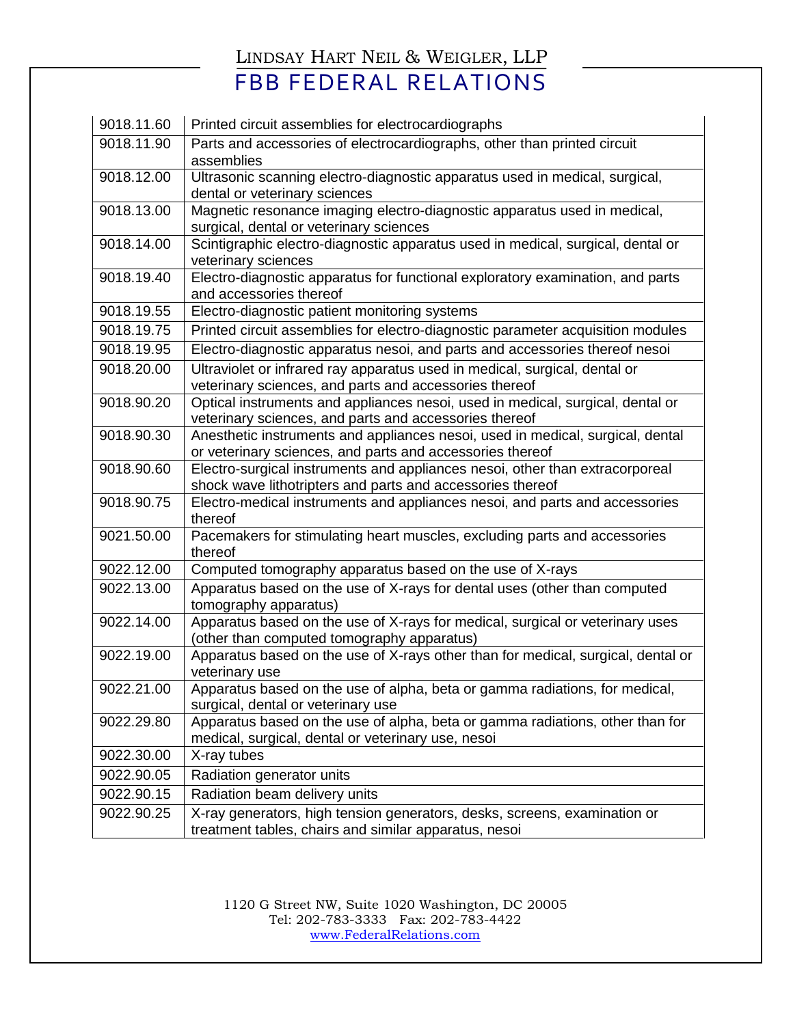| 9018.11.60 | Printed circuit assemblies for electrocardiographs                                                                                         |
|------------|--------------------------------------------------------------------------------------------------------------------------------------------|
| 9018.11.90 | Parts and accessories of electrocardiographs, other than printed circuit                                                                   |
|            | assemblies                                                                                                                                 |
| 9018.12.00 | Ultrasonic scanning electro-diagnostic apparatus used in medical, surgical,                                                                |
|            | dental or veterinary sciences                                                                                                              |
| 9018.13.00 | Magnetic resonance imaging electro-diagnostic apparatus used in medical,<br>surgical, dental or veterinary sciences                        |
| 9018.14.00 | Scintigraphic electro-diagnostic apparatus used in medical, surgical, dental or<br>veterinary sciences                                     |
| 9018.19.40 | Electro-diagnostic apparatus for functional exploratory examination, and parts                                                             |
|            | and accessories thereof                                                                                                                    |
| 9018.19.55 | Electro-diagnostic patient monitoring systems                                                                                              |
| 9018.19.75 | Printed circuit assemblies for electro-diagnostic parameter acquisition modules                                                            |
| 9018.19.95 | Electro-diagnostic apparatus nesoi, and parts and accessories thereof nesoi                                                                |
| 9018.20.00 | Ultraviolet or infrared ray apparatus used in medical, surgical, dental or                                                                 |
|            | veterinary sciences, and parts and accessories thereof                                                                                     |
| 9018.90.20 | Optical instruments and appliances nesoi, used in medical, surgical, dental or                                                             |
|            | veterinary sciences, and parts and accessories thereof                                                                                     |
| 9018.90.30 | Anesthetic instruments and appliances nesoi, used in medical, surgical, dental                                                             |
|            | or veterinary sciences, and parts and accessories thereof                                                                                  |
| 9018.90.60 | Electro-surgical instruments and appliances nesoi, other than extracorporeal<br>shock wave lithotripters and parts and accessories thereof |
| 9018.90.75 | Electro-medical instruments and appliances nesoi, and parts and accessories                                                                |
|            | thereof                                                                                                                                    |
| 9021.50.00 | Pacemakers for stimulating heart muscles, excluding parts and accessories                                                                  |
|            | thereof                                                                                                                                    |
| 9022.12.00 | Computed tomography apparatus based on the use of X-rays                                                                                   |
| 9022.13.00 | Apparatus based on the use of X-rays for dental uses (other than computed<br>tomography apparatus)                                         |
| 9022.14.00 | Apparatus based on the use of X-rays for medical, surgical or veterinary uses                                                              |
|            | (other than computed tomography apparatus)                                                                                                 |
| 9022.19.00 | Apparatus based on the use of X-rays other than for medical, surgical, dental or<br>veterinary use                                         |
| 9022.21.00 | Apparatus based on the use of alpha, beta or gamma radiations, for medical,                                                                |
|            | surgical, dental or veterinary use                                                                                                         |
| 9022.29.80 | Apparatus based on the use of alpha, beta or gamma radiations, other than for                                                              |
|            | medical, surgical, dental or veterinary use, nesoi                                                                                         |
| 9022.30.00 | X-ray tubes                                                                                                                                |
| 9022.90.05 | Radiation generator units                                                                                                                  |
| 9022.90.15 | Radiation beam delivery units                                                                                                              |
| 9022.90.25 | X-ray generators, high tension generators, desks, screens, examination or<br>treatment tables, chairs and similar apparatus, nesoi         |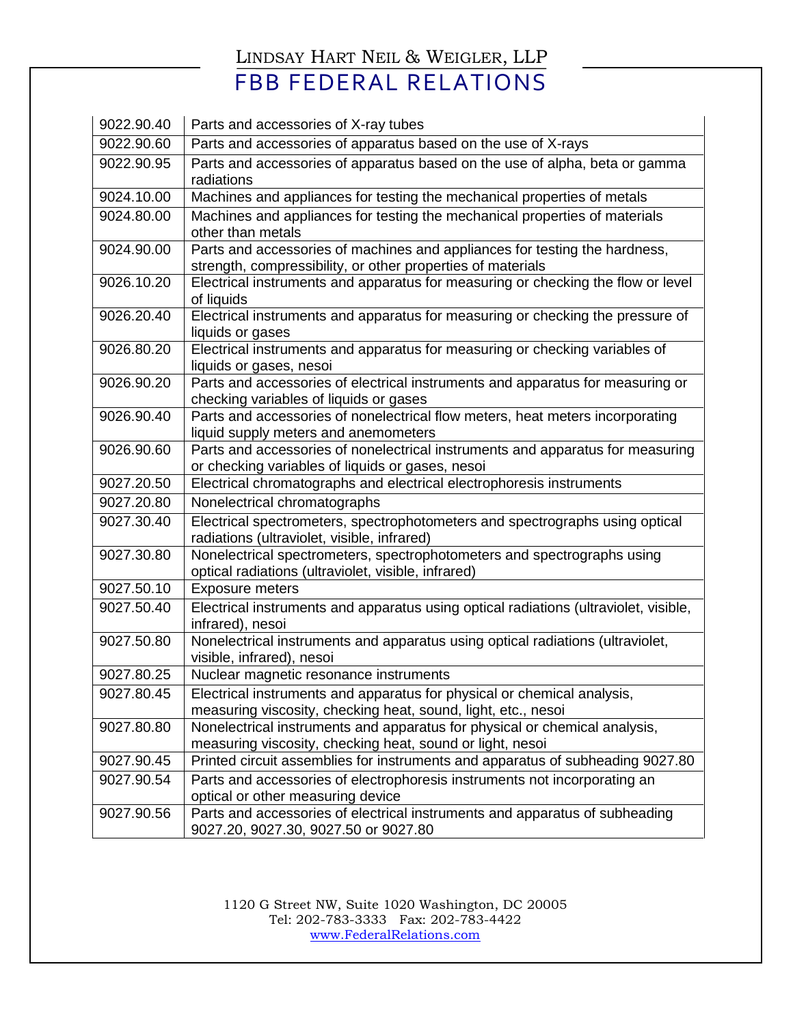| 9022.90.40 | Parts and accessories of X-ray tubes                                                                                                      |
|------------|-------------------------------------------------------------------------------------------------------------------------------------------|
| 9022.90.60 | Parts and accessories of apparatus based on the use of X-rays                                                                             |
| 9022.90.95 | Parts and accessories of apparatus based on the use of alpha, beta or gamma<br>radiations                                                 |
| 9024.10.00 | Machines and appliances for testing the mechanical properties of metals                                                                   |
| 9024.80.00 | Machines and appliances for testing the mechanical properties of materials<br>other than metals                                           |
| 9024.90.00 | Parts and accessories of machines and appliances for testing the hardness,<br>strength, compressibility, or other properties of materials |
| 9026.10.20 | Electrical instruments and apparatus for measuring or checking the flow or level<br>of liquids                                            |
| 9026.20.40 | Electrical instruments and apparatus for measuring or checking the pressure of<br>liquids or gases                                        |
| 9026.80.20 | Electrical instruments and apparatus for measuring or checking variables of<br>liquids or gases, nesoi                                    |
| 9026.90.20 | Parts and accessories of electrical instruments and apparatus for measuring or<br>checking variables of liquids or gases                  |
| 9026.90.40 | Parts and accessories of nonelectrical flow meters, heat meters incorporating<br>liquid supply meters and anemometers                     |
| 9026.90.60 | Parts and accessories of nonelectrical instruments and apparatus for measuring<br>or checking variables of liquids or gases, nesoi        |
| 9027.20.50 | Electrical chromatographs and electrical electrophoresis instruments                                                                      |
| 9027.20.80 | Nonelectrical chromatographs                                                                                                              |
| 9027.30.40 | Electrical spectrometers, spectrophotometers and spectrographs using optical<br>radiations (ultraviolet, visible, infrared)               |
| 9027.30.80 | Nonelectrical spectrometers, spectrophotometers and spectrographs using<br>optical radiations (ultraviolet, visible, infrared)            |
| 9027.50.10 | Exposure meters                                                                                                                           |
| 9027.50.40 | Electrical instruments and apparatus using optical radiations (ultraviolet, visible,<br>infrared), nesoi                                  |
| 9027.50.80 | Nonelectrical instruments and apparatus using optical radiations (ultraviolet,<br>visible, infrared), nesoi                               |
| 9027.80.25 | Nuclear magnetic resonance instruments                                                                                                    |
| 9027.80.45 | Electrical instruments and apparatus for physical or chemical analysis,<br>measuring viscosity, checking heat, sound, light, etc., nesoi  |
| 9027.80.80 | Nonelectrical instruments and apparatus for physical or chemical analysis,<br>measuring viscosity, checking heat, sound or light, nesoi   |
| 9027.90.45 | Printed circuit assemblies for instruments and apparatus of subheading 9027.80                                                            |
| 9027.90.54 | Parts and accessories of electrophoresis instruments not incorporating an<br>optical or other measuring device                            |
| 9027.90.56 | Parts and accessories of electrical instruments and apparatus of subheading<br>9027.20, 9027.30, 9027.50 or 9027.80                       |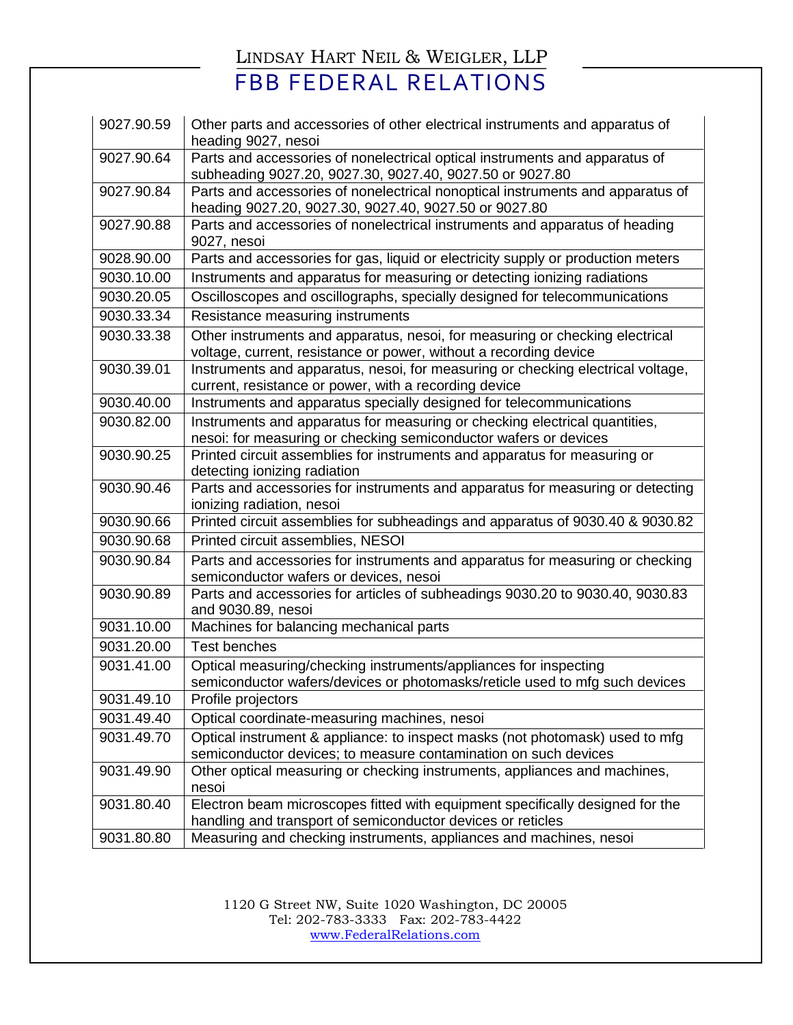### LINDSAY HART NEIL & WEIGLER, LLP

FBB FEDERAL RELATIONS

| 9027.90.59 | Other parts and accessories of other electrical instruments and apparatus of<br>heading 9027, nesoi                                               |
|------------|---------------------------------------------------------------------------------------------------------------------------------------------------|
| 9027.90.64 | Parts and accessories of nonelectrical optical instruments and apparatus of<br>subheading 9027.20, 9027.30, 9027.40, 9027.50 or 9027.80           |
| 9027.90.84 | Parts and accessories of nonelectrical nonoptical instruments and apparatus of<br>heading 9027.20, 9027.30, 9027.40, 9027.50 or 9027.80           |
| 9027.90.88 | Parts and accessories of nonelectrical instruments and apparatus of heading<br>9027, nesoi                                                        |
| 9028.90.00 | Parts and accessories for gas, liquid or electricity supply or production meters                                                                  |
| 9030.10.00 | Instruments and apparatus for measuring or detecting ionizing radiations                                                                          |
| 9030.20.05 | Oscilloscopes and oscillographs, specially designed for telecommunications                                                                        |
| 9030.33.34 | Resistance measuring instruments                                                                                                                  |
| 9030.33.38 | Other instruments and apparatus, nesoi, for measuring or checking electrical<br>voltage, current, resistance or power, without a recording device |
| 9030.39.01 | Instruments and apparatus, nesoi, for measuring or checking electrical voltage,<br>current, resistance or power, with a recording device          |
| 9030.40.00 | Instruments and apparatus specially designed for telecommunications                                                                               |
| 9030.82.00 | Instruments and apparatus for measuring or checking electrical quantities,<br>nesoi: for measuring or checking semiconductor wafers or devices    |
| 9030.90.25 | Printed circuit assemblies for instruments and apparatus for measuring or<br>detecting ionizing radiation                                         |
| 9030.90.46 | Parts and accessories for instruments and apparatus for measuring or detecting<br>ionizing radiation, nesoi                                       |
| 9030.90.66 | Printed circuit assemblies for subheadings and apparatus of 9030.40 & 9030.82                                                                     |
| 9030.90.68 | Printed circuit assemblies, NESOI                                                                                                                 |
| 9030.90.84 | Parts and accessories for instruments and apparatus for measuring or checking<br>semiconductor wafers or devices, nesoi                           |
| 9030.90.89 | Parts and accessories for articles of subheadings 9030.20 to 9030.40, 9030.83<br>and 9030.89, nesoi                                               |
| 9031.10.00 | Machines for balancing mechanical parts                                                                                                           |
| 9031.20.00 | <b>Test benches</b>                                                                                                                               |
| 9031.41.00 | Optical measuring/checking instruments/appliances for inspecting<br>semiconductor wafers/devices or photomasks/reticle used to mfg such devices   |
| 9031.49.10 | Profile projectors                                                                                                                                |
| 9031.49.40 | Optical coordinate-measuring machines, nesoi                                                                                                      |
| 9031.49.70 | Optical instrument & appliance: to inspect masks (not photomask) used to mfg<br>semiconductor devices; to measure contamination on such devices   |
| 9031.49.90 | Other optical measuring or checking instruments, appliances and machines,<br>nesoi                                                                |
| 9031.80.40 | Electron beam microscopes fitted with equipment specifically designed for the<br>handling and transport of semiconductor devices or reticles      |
| 9031.80.80 | Measuring and checking instruments, appliances and machines, nesoi                                                                                |